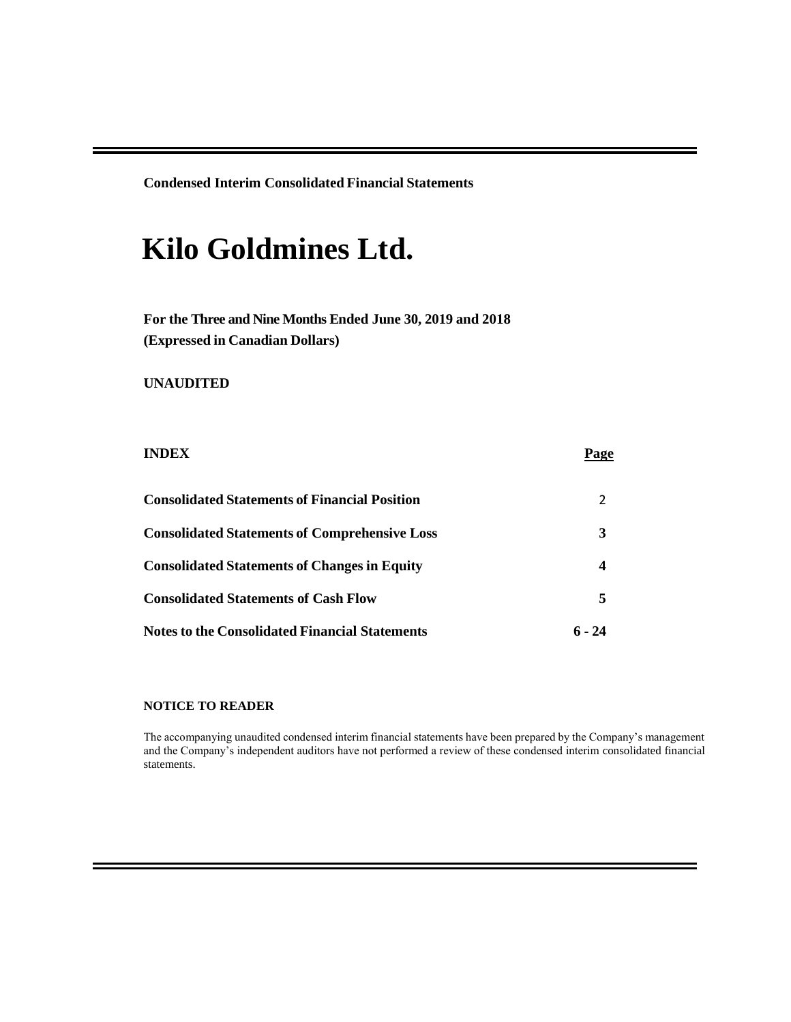**Condensed Interim Consolidated Financial Statements**

# **Kilo Goldmines Ltd.**

**For the Three and Nine Months Ended June 30, 2019 and 2018 (Expressed in Canadian Dollars)**

### **UNAUDITED**

| <b>INDEX</b>                                         | Page   |
|------------------------------------------------------|--------|
| <b>Consolidated Statements of Financial Position</b> |        |
| <b>Consolidated Statements of Comprehensive Loss</b> | 3      |
| <b>Consolidated Statements of Changes in Equity</b>  | 4      |
| <b>Consolidated Statements of Cash Flow</b>          | 5      |
| Notes to the Consolidated Financial Statements       | 6 - 24 |

#### **NOTICE TO READER**

The accompanying unaudited condensed interim financial statements have been prepared by the Company's management and the Company's independent auditors have not performed a review of these condensed interim consolidated financial statements.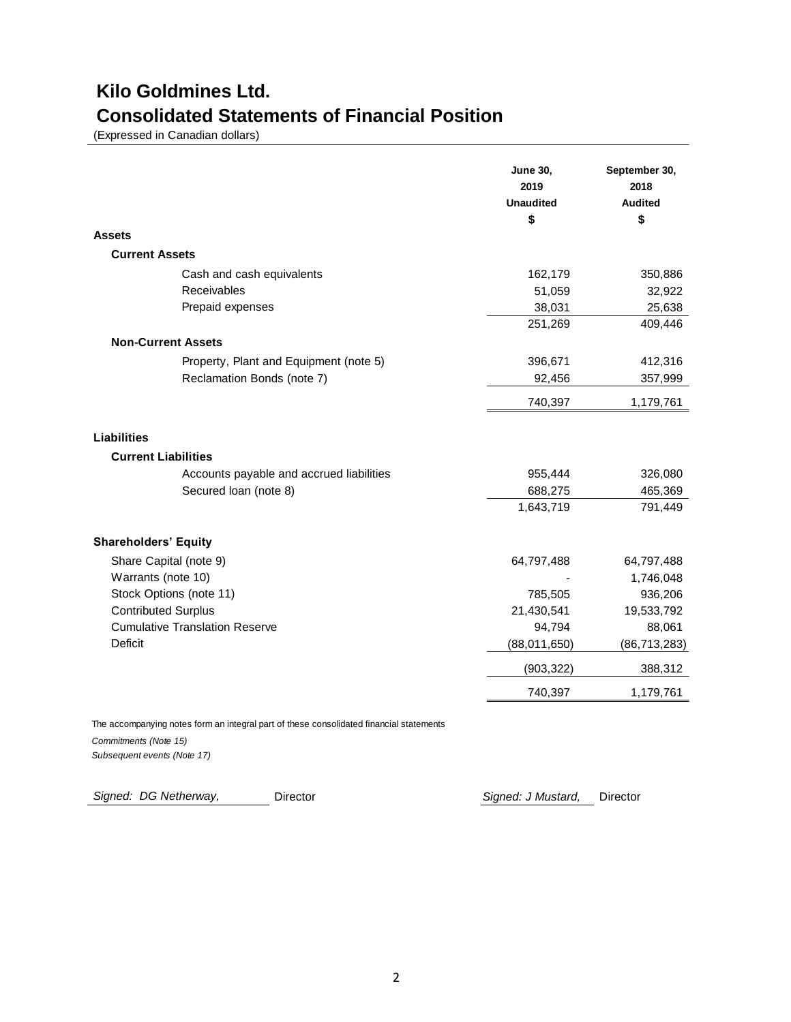## **Kilo Goldmines Ltd. Consolidated Statements of Financial Position**

(Expressed in Canadian dollars)

|                                          | <b>June 30,</b><br>2019<br><b>Unaudited</b><br>\$ | September 30,<br>2018<br><b>Audited</b><br>\$ |
|------------------------------------------|---------------------------------------------------|-----------------------------------------------|
| Assets                                   |                                                   |                                               |
| <b>Current Assets</b>                    |                                                   |                                               |
| Cash and cash equivalents                | 162,179                                           | 350,886                                       |
| Receivables                              | 51,059                                            | 32,922                                        |
| Prepaid expenses                         | 38,031                                            | 25,638                                        |
|                                          | 251,269                                           | 409,446                                       |
| <b>Non-Current Assets</b>                |                                                   |                                               |
| Property, Plant and Equipment (note 5)   | 396,671                                           | 412,316                                       |
| Reclamation Bonds (note 7)               | 92,456                                            | 357,999                                       |
|                                          | 740,397                                           | 1,179,761                                     |
| <b>Liabilities</b>                       |                                                   |                                               |
| <b>Current Liabilities</b>               |                                                   |                                               |
| Accounts payable and accrued liabilities | 955,444                                           | 326,080                                       |
| Secured loan (note 8)                    | 688,275                                           | 465,369                                       |
|                                          | 1,643,719                                         | 791,449                                       |
| <b>Shareholders' Equity</b>              |                                                   |                                               |
| Share Capital (note 9)                   | 64,797,488                                        | 64,797,488                                    |
| Warrants (note 10)                       |                                                   | 1,746,048                                     |
| Stock Options (note 11)                  | 785,505                                           | 936,206                                       |
| <b>Contributed Surplus</b>               | 21,430,541                                        | 19,533,792                                    |
| <b>Cumulative Translation Reserve</b>    | 94,794                                            | 88,061                                        |
| <b>Deficit</b>                           | (88,011,650)                                      | (86, 713, 283)                                |
|                                          | (903, 322)                                        | 388,312                                       |
|                                          | 740,397                                           | 1,179,761                                     |

 *Commitments (Note 15)*  The accompanying notes form an integral part of these consolidated financial statements  *Subsequent events (Note 17)* 

 *Signed: DG Netherway,* 

Director *Signed: J Mustard,* Director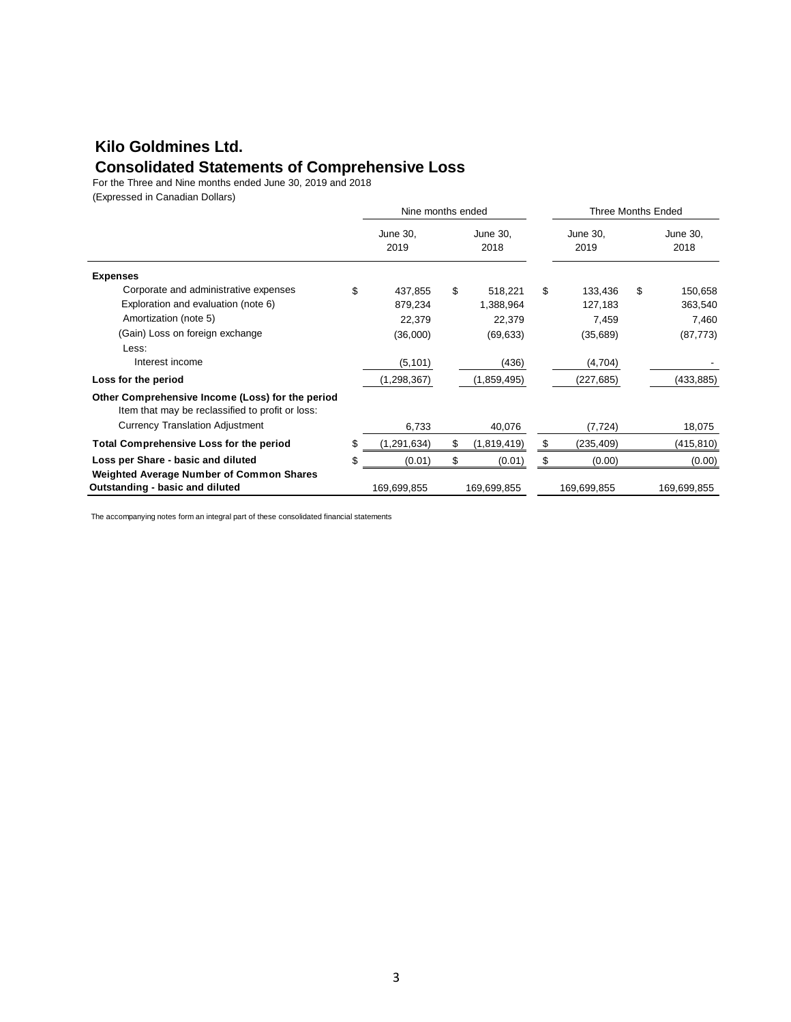### **Kilo Goldmines Ltd. Consolidated Statements of Comprehensive Loss**

For the Three and Nine months ended June 30, 2019 and 2018

(Expressed in Canadian Dollars)

|                                                                                                      | Nine months ended |                  |    |                  | Three Months Ended |                  |
|------------------------------------------------------------------------------------------------------|-------------------|------------------|----|------------------|--------------------|------------------|
|                                                                                                      |                   | June 30,<br>2019 |    | June 30,<br>2018 | June 30,<br>2019   | June 30,<br>2018 |
| <b>Expenses</b>                                                                                      |                   |                  |    |                  |                    |                  |
| Corporate and administrative expenses                                                                | \$                | 437,855          | \$ | 518,221          | \$<br>133,436      | \$<br>150,658    |
| Exploration and evaluation (note 6)                                                                  |                   | 879,234          |    | 1,388,964        | 127,183            | 363,540          |
| Amortization (note 5)                                                                                |                   | 22,379           |    | 22,379           | 7,459              | 7,460            |
| (Gain) Loss on foreign exchange                                                                      |                   | (36,000)         |    | (69, 633)        | (35,689)           | (87, 773)        |
| Less:                                                                                                |                   |                  |    |                  |                    |                  |
| Interest income                                                                                      |                   | (5, 101)         |    | (436)            | (4,704)            |                  |
| Loss for the period                                                                                  |                   | (1, 298, 367)    |    | (1,859,495)      | (227, 685)         | (433, 885)       |
| Other Comprehensive Income (Loss) for the period<br>Item that may be reclassified to profit or loss: |                   |                  |    |                  |                    |                  |
| <b>Currency Translation Adjustment</b>                                                               |                   | 6,733            |    | 40,076           | (7, 724)           | 18,075           |
| <b>Total Comprehensive Loss for the period</b>                                                       | \$                | (1, 291, 634)    | \$ | (1,819,419)      | \$<br>(235, 409)   | (415, 810)       |
| Loss per Share - basic and diluted                                                                   | \$                | (0.01)           | \$ | (0.01)           | \$<br>(0.00)       | (0.00)           |
| <b>Weighted Average Number of Common Shares</b><br>Outstanding - basic and diluted                   |                   | 169,699,855      |    | 169,699,855      | 169,699,855        | 169,699,855      |

The accompanying notes form an integral part of these consolidated financial statements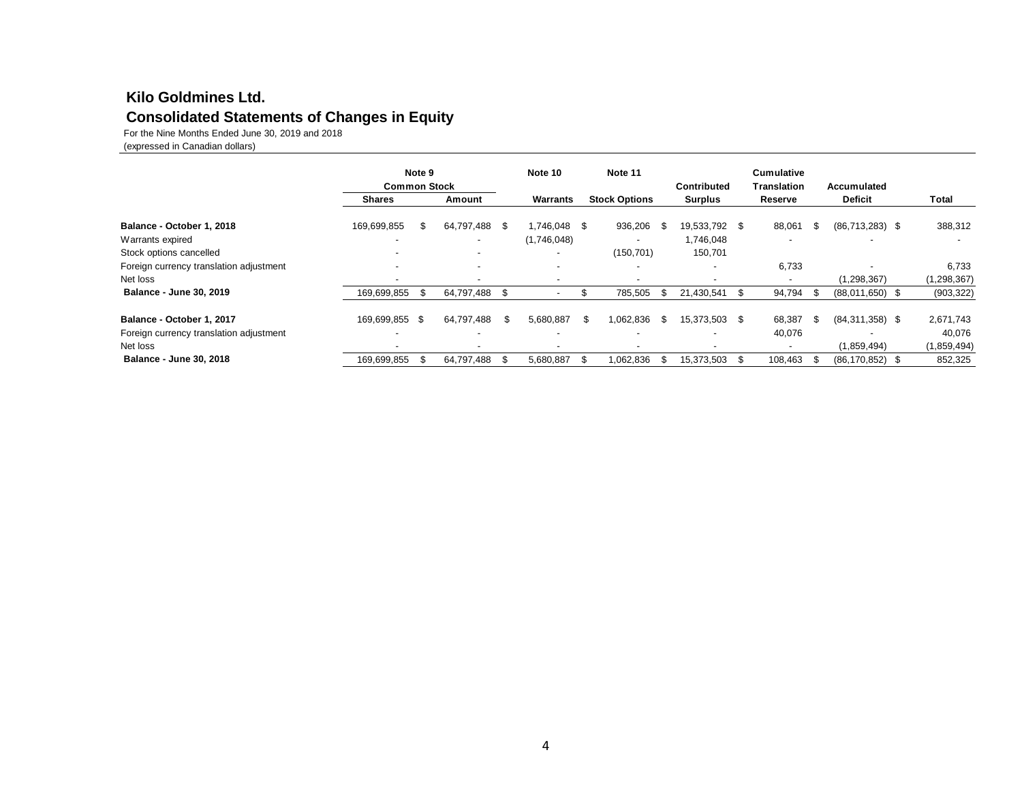### **Consolidated Statements of Changes in Equity Kilo Goldmines Ltd.**

For the Nine Months Ended June 30, 2019 and 2018

(expressed in Canadian dollars)

|                                         | <b>Common Stock</b>      | Note 9 |                          |      | Note 10                  |      | Note 11                  |      | Contributed              |      | <b>Cumulative</b><br><b>Translation</b> |    | Accumulated         |                          |
|-----------------------------------------|--------------------------|--------|--------------------------|------|--------------------------|------|--------------------------|------|--------------------------|------|-----------------------------------------|----|---------------------|--------------------------|
|                                         | <b>Shares</b>            |        | Amount                   |      | Warrants                 |      | <b>Stock Options</b>     |      | <b>Surplus</b>           |      | Reserve                                 |    | <b>Deficit</b>      | Total                    |
| Balance - October 1, 2018               | 169,699,855              |        | 64,797,488 \$            |      | 1,746,048 \$             |      | 936,206                  | - \$ | 19,533,792 \$            |      | 88,061                                  | S. | $(86,713,283)$ \$   | 388,312                  |
| Warrants expired                        | $\overline{\phantom{0}}$ |        | $\overline{\phantom{a}}$ |      | (1,746,048)              |      | $\overline{\phantom{a}}$ |      | 1,746,048                |      | $\overline{\phantom{0}}$                |    |                     | $\overline{\phantom{a}}$ |
| Stock options cancelled                 |                          |        | $\overline{\phantom{a}}$ |      | $\overline{\phantom{0}}$ |      | (150, 701)               |      | 150,701                  |      |                                         |    |                     |                          |
| Foreign currency translation adjustment |                          |        | $\overline{\phantom{a}}$ |      | $\overline{\phantom{a}}$ |      | $\overline{\phantom{a}}$ |      | $\overline{\phantom{0}}$ |      | 6,733                                   |    |                     | 6,733                    |
| Net loss                                |                          |        | $\overline{\phantom{a}}$ |      | $\overline{\phantom{0}}$ |      |                          |      |                          |      |                                         |    | (1, 298, 367)       | (1, 298, 367)            |
| <b>Balance - June 30, 2019</b>          | 169,699,855              | ж.     | 64,797,488 \$            |      |                          | Жħ   | 785,505                  | \$   | 21,430,541               | .ზ   | 94,794                                  | Ж, | $(88,011,650)$ \$   | (903, 322)               |
| Balance - October 1, 2017               | 169,699,855 \$           |        | 64,797,488               | \$.  | 5,680,887                | \$.  | 1.062.836                | -\$  | 15,373,503 \$            |      | 68,387                                  | \$ | $(84,311,358)$ \$   | 2,671,743                |
| Foreign currency translation adjustment | $\overline{\phantom{0}}$ |        | $\overline{\phantom{a}}$ |      | $\overline{\phantom{a}}$ |      | $\overline{\phantom{a}}$ |      | $\overline{\phantom{0}}$ |      | 40,076                                  |    |                     | 40,076                   |
| Net loss                                | $\overline{\phantom{0}}$ |        | $\overline{\phantom{a}}$ |      | $\overline{\phantom{a}}$ |      | $\overline{\phantom{a}}$ |      |                          |      |                                         |    | (1,859,494)         | (1,859,494)              |
| <b>Balance - June 30, 2018</b>          | 169,699,855              |        | 64,797,488               | - \$ | 5,680,887                | - \$ | 1,062,836                | - 55 | 15,373,503               | - 96 | 108,463                                 |    | $(86, 170, 852)$ \$ | 852,325                  |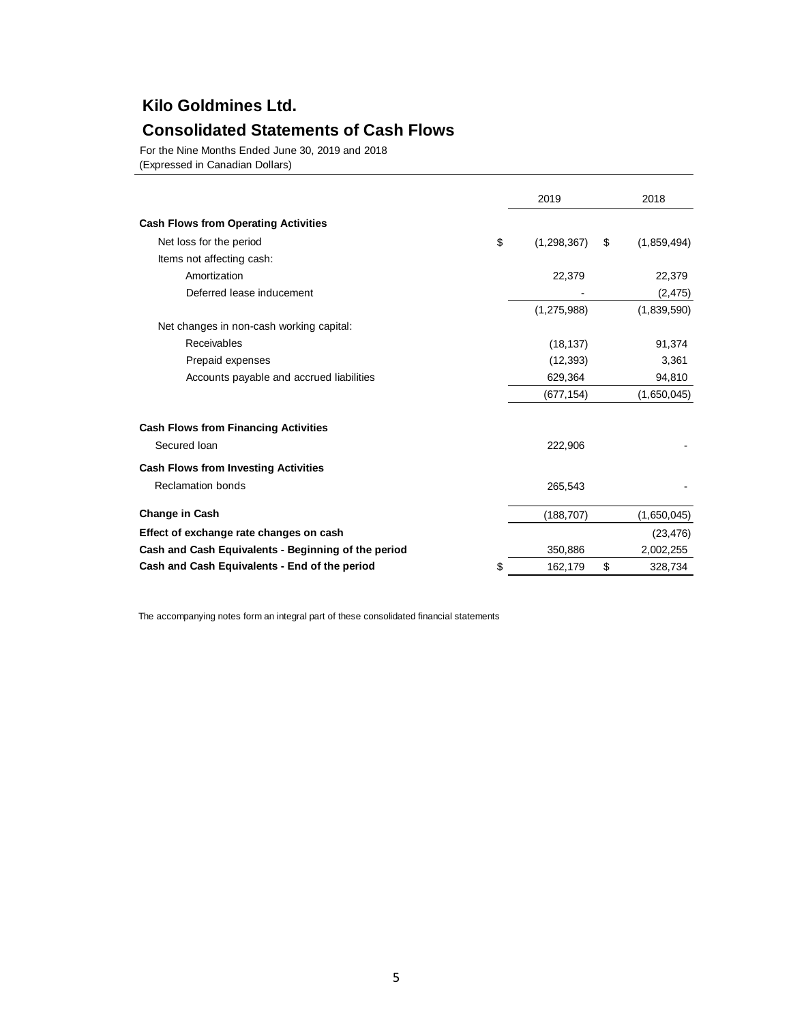## **Kilo Goldmines Ltd.**

### **Consolidated Statements of Cash Flows**

For the Nine Months Ended June 30, 2019 and 2018

(Expressed in Canadian Dollars)

|                                                     | 2019                | 2018              |
|-----------------------------------------------------|---------------------|-------------------|
| <b>Cash Flows from Operating Activities</b>         |                     |                   |
| Net loss for the period                             | \$<br>(1, 298, 367) | \$<br>(1,859,494) |
| Items not affecting cash:                           |                     |                   |
| Amortization                                        | 22,379              | 22,379            |
| Deferred lease inducement                           |                     | (2, 475)          |
|                                                     | (1, 275, 988)       | (1,839,590)       |
| Net changes in non-cash working capital:            |                     |                   |
| Receivables                                         | (18, 137)           | 91,374            |
| Prepaid expenses                                    | (12, 393)           | 3,361             |
| Accounts payable and accrued liabilities            | 629,364             | 94,810            |
|                                                     | (677, 154)          | (1,650,045)       |
| <b>Cash Flows from Financing Activities</b>         |                     |                   |
| Secured Ioan                                        | 222,906             |                   |
| <b>Cash Flows from Investing Activities</b>         |                     |                   |
| <b>Reclamation bonds</b>                            | 265,543             |                   |
| <b>Change in Cash</b>                               | (188, 707)          | (1,650,045)       |
| Effect of exchange rate changes on cash             |                     | (23, 476)         |
| Cash and Cash Equivalents - Beginning of the period | 350,886             | 2,002,255         |
| Cash and Cash Equivalents - End of the period       | \$<br>162,179       | \$<br>328,734     |

The accompanying notes form an integral part of these consolidated financial statements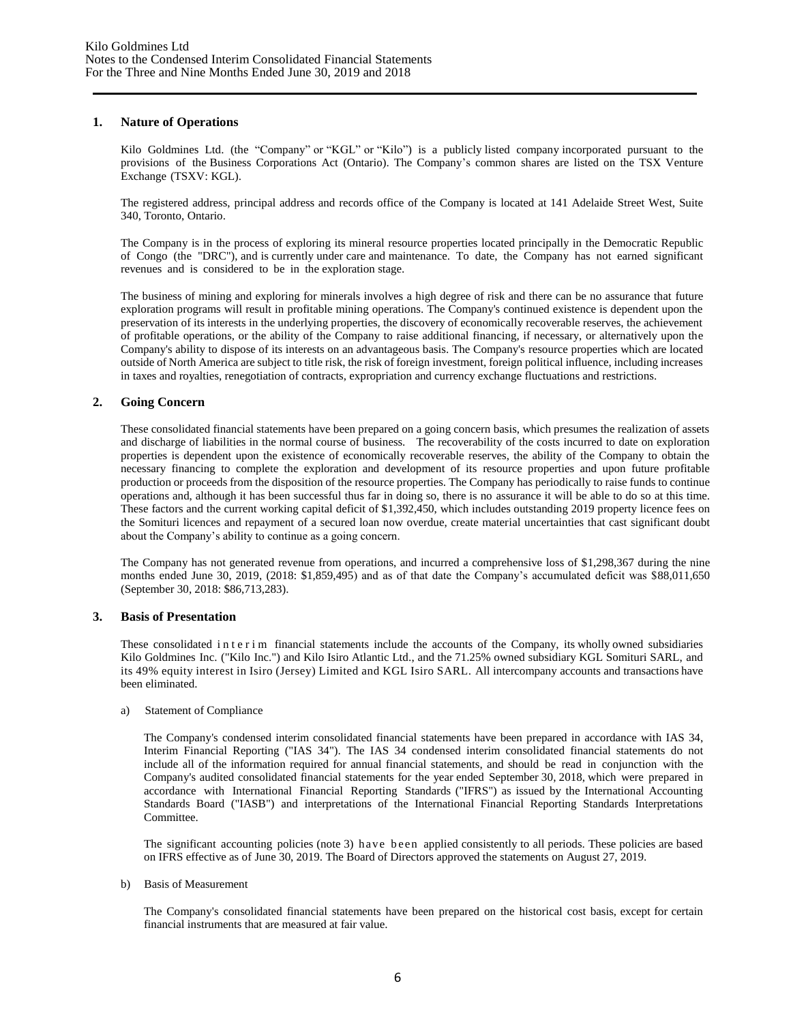#### **1. Nature of Operations**

Kilo Goldmines Ltd. (the "Company" or "KGL" or "Kilo") is a publicly listed company incorporated pursuant to the provisions of the Business Corporations Act (Ontario). The Company's common shares are listed on the TSX Venture Exchange (TSXV: KGL).

The registered address, principal address and records office of the Company is located at 141 Adelaide Street West, Suite 340, Toronto, Ontario.

The Company is in the process of exploring its mineral resource properties located principally in the Democratic Republic of Congo (the "DRC"), and is currently under care and maintenance. To date, the Company has not earned significant revenues and is considered to be in the exploration stage.

The business of mining and exploring for minerals involves a high degree of risk and there can be no assurance that future exploration programs will result in profitable mining operations. The Company's continued existence is dependent upon the preservation of its interests in the underlying properties, the discovery of economically recoverable reserves, the achievement of profitable operations, or the ability of the Company to raise additional financing, if necessary, or alternatively upon the Company's ability to dispose of its interests on an advantageous basis. The Company's resource properties which are located outside of North America are subject to title risk, the risk of foreign investment, foreign political influence, including increases in taxes and royalties, renegotiation of contracts, expropriation and currency exchange fluctuations and restrictions.

#### **2. Going Concern**

These consolidated financial statements have been prepared on a going concern basis, which presumes the realization of assets and discharge of liabilities in the normal course of business. The recoverability of the costs incurred to date on exploration properties is dependent upon the existence of economically recoverable reserves, the ability of the Company to obtain the necessary financing to complete the exploration and development of its resource properties and upon future profitable production or proceeds from the disposition of the resource properties. The Company has periodically to raise funds to continue operations and, although it has been successful thus far in doing so, there is no assurance it will be able to do so at this time. These factors and the current working capital deficit of \$1,392,450, which includes outstanding 2019 property licence fees on the Somituri licences and repayment of a secured loan now overdue, create material uncertainties that cast significant doubt about the Company's ability to continue as a going concern.

The Company has not generated revenue from operations, and incurred a comprehensive loss of \$1,298,367 during the nine months ended June 30, 2019, (2018: \$1,859,495) and as of that date the Company's accumulated deficit was \$88,011,650 (September 30, 2018: \$86,713,283).

#### **3. Basis of Presentation**

These consolidated in terim financial statements include the accounts of the Company, its wholly owned subsidiaries Kilo Goldmines Inc. ("Kilo Inc.") and Kilo Isiro Atlantic Ltd., and the 71.25% owned subsidiary KGL Somituri SARL, and its 49% equity interest in Isiro (Jersey) Limited and KGL Isiro SARL. All intercompany accounts and transactions have been eliminated.

#### a) Statement of Compliance

The Company's condensed interim consolidated financial statements have been prepared in accordance with IAS 34, Interim Financial Reporting ("IAS 34"). The IAS 34 condensed interim consolidated financial statements do not include all of the information required for annual financial statements, and should be read in conjunction with the Company's audited consolidated financial statements for the year ended September 30, 2018, which were prepared in accordance with International Financial Reporting Standards ("IFRS") as issued by the International Accounting Standards Board ("IASB") and interpretations of the International Financial Reporting Standards Interpretations Committee.

The significant accounting policies (note 3) have been applied consistently to all periods. These policies are based on IFRS effective as of June 30, 2019. The Board of Directors approved the statements on August 27, 2019.

b) Basis of Measurement

The Company's consolidated financial statements have been prepared on the historical cost basis, except for certain financial instruments that are measured at fair value.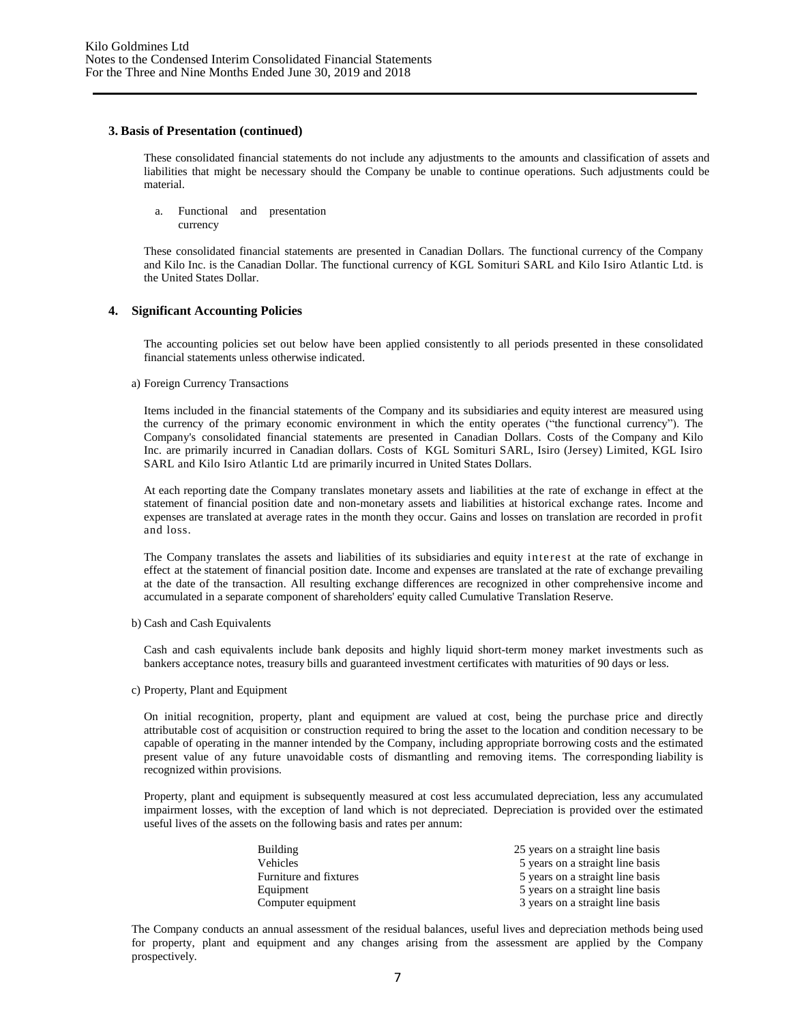#### **3. Basis of Presentation (continued)**

These consolidated financial statements do not include any adjustments to the amounts and classification of assets and liabilities that might be necessary should the Company be unable to continue operations. Such adjustments could be material.

a. Functional and presentation currency

These consolidated financial statements are presented in Canadian Dollars. The functional currency of the Company and Kilo Inc. is the Canadian Dollar. The functional currency of KGL Somituri SARL and Kilo Isiro Atlantic Ltd. is the United States Dollar.

#### **4. Significant Accounting Policies**

The accounting policies set out below have been applied consistently to all periods presented in these consolidated financial statements unless otherwise indicated.

#### a) Foreign Currency Transactions

Items included in the financial statements of the Company and its subsidiaries and equity interest are measured using the currency of the primary economic environment in which the entity operates ("the functional currency"). The Company's consolidated financial statements are presented in Canadian Dollars. Costs of the Company and Kilo Inc. are primarily incurred in Canadian dollars. Costs of KGL Somituri SARL, Isiro (Jersey) Limited, KGL Isiro SARL and Kilo Isiro Atlantic Ltd are primarily incurred in United States Dollars.

At each reporting date the Company translates monetary assets and liabilities at the rate of exchange in effect at the statement of financial position date and non-monetary assets and liabilities at historical exchange rates. Income and expenses are translated at average rates in the month they occur. Gains and losses on translation are recorded in profit and loss.

The Company translates the assets and liabilities of its subsidiaries and equity interest at the rate of exchange in effect at the statement of financial position date. Income and expenses are translated at the rate of exchange prevailing at the date of the transaction. All resulting exchange differences are recognized in other comprehensive income and accumulated in a separate component of shareholders' equity called Cumulative Translation Reserve.

b) Cash and Cash Equivalents

Cash and cash equivalents include bank deposits and highly liquid short-term money market investments such as bankers acceptance notes, treasury bills and guaranteed investment certificates with maturities of 90 days or less.

c) Property, Plant and Equipment

On initial recognition, property, plant and equipment are valued at cost, being the purchase price and directly attributable cost of acquisition or construction required to bring the asset to the location and condition necessary to be capable of operating in the manner intended by the Company, including appropriate borrowing costs and the estimated present value of any future unavoidable costs of dismantling and removing items. The corresponding liability is recognized within provisions.

Property, plant and equipment is subsequently measured at cost less accumulated depreciation, less any accumulated impairment losses, with the exception of land which is not depreciated. Depreciation is provided over the estimated useful lives of the assets on the following basis and rates per annum:

| <b>Building</b>        | 25 years on a straight line basis |
|------------------------|-----------------------------------|
| <b>Vehicles</b>        | 5 years on a straight line basis  |
| Furniture and fixtures | 5 years on a straight line basis  |
| Equipment              | 5 years on a straight line basis  |
| Computer equipment     | 3 years on a straight line basis  |

The Company conducts an annual assessment of the residual balances, useful lives and depreciation methods being used for property, plant and equipment and any changes arising from the assessment are applied by the Company prospectively.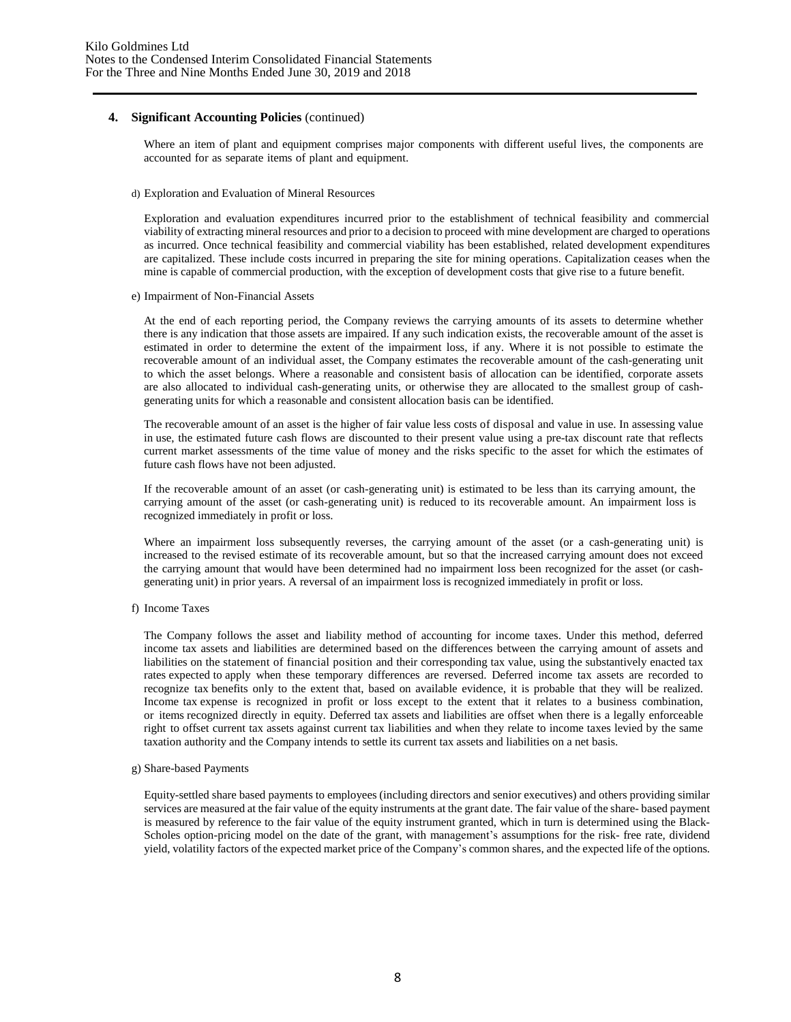Where an item of plant and equipment comprises major components with different useful lives, the components are accounted for as separate items of plant and equipment.

d) Exploration and Evaluation of Mineral Resources

Exploration and evaluation expenditures incurred prior to the establishment of technical feasibility and commercial viability of extracting mineral resources and prior to a decision to proceed with mine development are charged to operations as incurred. Once technical feasibility and commercial viability has been established, related development expenditures are capitalized. These include costs incurred in preparing the site for mining operations. Capitalization ceases when the mine is capable of commercial production, with the exception of development costs that give rise to a future benefit.

e) Impairment of Non-Financial Assets

At the end of each reporting period, the Company reviews the carrying amounts of its assets to determine whether there is any indication that those assets are impaired. If any such indication exists, the recoverable amount of the asset is estimated in order to determine the extent of the impairment loss, if any. Where it is not possible to estimate the recoverable amount of an individual asset, the Company estimates the recoverable amount of the cash-generating unit to which the asset belongs. Where a reasonable and consistent basis of allocation can be identified, corporate assets are also allocated to individual cash-generating units, or otherwise they are allocated to the smallest group of cashgenerating units for which a reasonable and consistent allocation basis can be identified.

The recoverable amount of an asset is the higher of fair value less costs of disposal and value in use. In assessing value in use, the estimated future cash flows are discounted to their present value using a pre-tax discount rate that reflects current market assessments of the time value of money and the risks specific to the asset for which the estimates of future cash flows have not been adjusted.

If the recoverable amount of an asset (or cash-generating unit) is estimated to be less than its carrying amount, the carrying amount of the asset (or cash-generating unit) is reduced to its recoverable amount. An impairment loss is recognized immediately in profit or loss.

Where an impairment loss subsequently reverses, the carrying amount of the asset (or a cash-generating unit) is increased to the revised estimate of its recoverable amount, but so that the increased carrying amount does not exceed the carrying amount that would have been determined had no impairment loss been recognized for the asset (or cashgenerating unit) in prior years. A reversal of an impairment loss is recognized immediately in profit or loss.

f) Income Taxes

The Company follows the asset and liability method of accounting for income taxes. Under this method, deferred income tax assets and liabilities are determined based on the differences between the carrying amount of assets and liabilities on the statement of financial position and their corresponding tax value, using the substantively enacted tax rates expected to apply when these temporary differences are reversed. Deferred income tax assets are recorded to recognize tax benefits only to the extent that, based on available evidence, it is probable that they will be realized. Income tax expense is recognized in profit or loss except to the extent that it relates to a business combination, or items recognized directly in equity. Deferred tax assets and liabilities are offset when there is a legally enforceable right to offset current tax assets against current tax liabilities and when they relate to income taxes levied by the same taxation authority and the Company intends to settle its current tax assets and liabilities on a net basis.

g) Share-based Payments

Equity-settled share based payments to employees (including directors and senior executives) and others providing similar services are measured at the fair value of the equity instruments at the grant date. The fair value of the share- based payment is measured by reference to the fair value of the equity instrument granted, which in turn is determined using the Black-Scholes option-pricing model on the date of the grant, with management's assumptions for the risk- free rate, dividend yield, volatility factors of the expected market price of the Company's common shares, and the expected life of the options.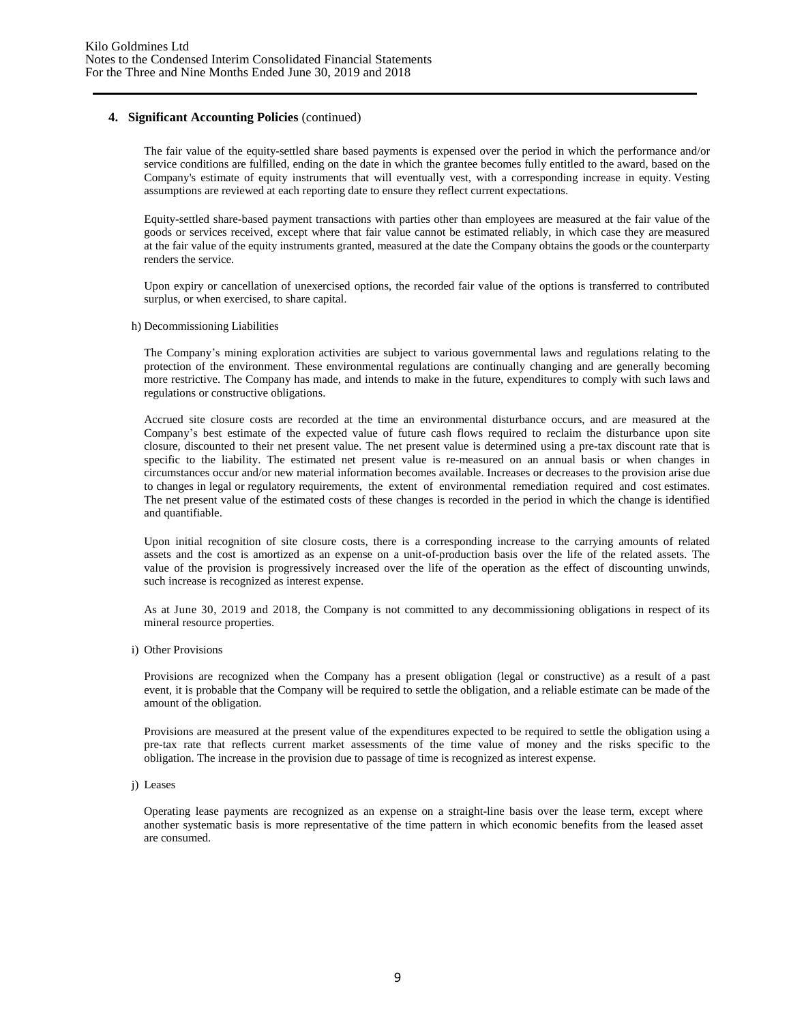The fair value of the equity-settled share based payments is expensed over the period in which the performance and/or service conditions are fulfilled, ending on the date in which the grantee becomes fully entitled to the award, based on the Company's estimate of equity instruments that will eventually vest, with a corresponding increase in equity. Vesting assumptions are reviewed at each reporting date to ensure they reflect current expectations.

Equity-settled share-based payment transactions with parties other than employees are measured at the fair value of the goods or services received, except where that fair value cannot be estimated reliably, in which case they are measured at the fair value of the equity instruments granted, measured at the date the Company obtains the goods or the counterparty renders the service.

Upon expiry or cancellation of unexercised options, the recorded fair value of the options is transferred to contributed surplus, or when exercised, to share capital.

h) Decommissioning Liabilities

The Company's mining exploration activities are subject to various governmental laws and regulations relating to the protection of the environment. These environmental regulations are continually changing and are generally becoming more restrictive. The Company has made, and intends to make in the future, expenditures to comply with such laws and regulations or constructive obligations.

Accrued site closure costs are recorded at the time an environmental disturbance occurs, and are measured at the Company's best estimate of the expected value of future cash flows required to reclaim the disturbance upon site closure, discounted to their net present value. The net present value is determined using a pre-tax discount rate that is specific to the liability. The estimated net present value is re-measured on an annual basis or when changes in circumstances occur and/or new material information becomes available. Increases or decreases to the provision arise due to changes in legal or regulatory requirements, the extent of environmental remediation required and cost estimates. The net present value of the estimated costs of these changes is recorded in the period in which the change is identified and quantifiable.

Upon initial recognition of site closure costs, there is a corresponding increase to the carrying amounts of related assets and the cost is amortized as an expense on a unit-of-production basis over the life of the related assets. The value of the provision is progressively increased over the life of the operation as the effect of discounting unwinds, such increase is recognized as interest expense.

As at June 30, 2019 and 2018, the Company is not committed to any decommissioning obligations in respect of its mineral resource properties.

i) Other Provisions

Provisions are recognized when the Company has a present obligation (legal or constructive) as a result of a past event, it is probable that the Company will be required to settle the obligation, and a reliable estimate can be made of the amount of the obligation.

Provisions are measured at the present value of the expenditures expected to be required to settle the obligation using a pre-tax rate that reflects current market assessments of the time value of money and the risks specific to the obligation. The increase in the provision due to passage of time is recognized as interest expense.

j) Leases

Operating lease payments are recognized as an expense on a straight-line basis over the lease term, except where another systematic basis is more representative of the time pattern in which economic benefits from the leased asset are consumed.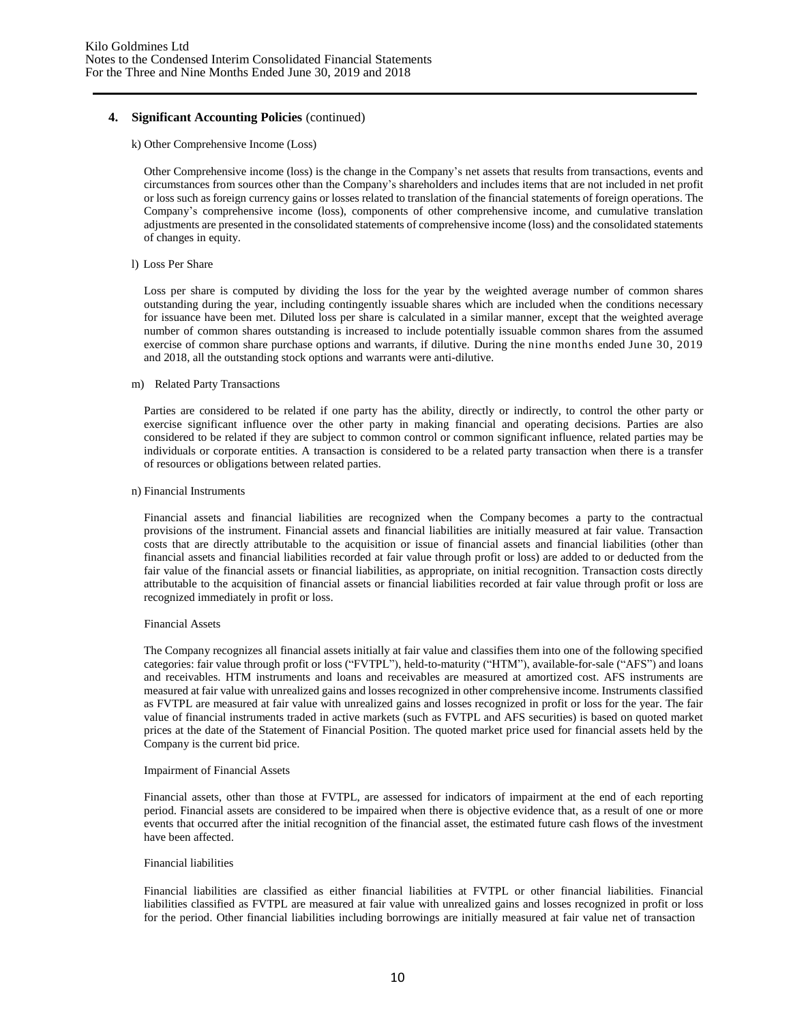#### k) Other Comprehensive Income (Loss)

Other Comprehensive income (loss) is the change in the Company's net assets that results from transactions, events and circumstances from sources other than the Company's shareholders and includes items that are not included in net profit or loss such as foreign currency gains or losses related to translation of the financial statements of foreign operations. The Company's comprehensive income (loss), components of other comprehensive income, and cumulative translation adjustments are presented in the consolidated statements of comprehensive income (loss) and the consolidated statements of changes in equity.

#### l) Loss Per Share

Loss per share is computed by dividing the loss for the year by the weighted average number of common shares outstanding during the year, including contingently issuable shares which are included when the conditions necessary for issuance have been met. Diluted loss per share is calculated in a similar manner, except that the weighted average number of common shares outstanding is increased to include potentially issuable common shares from the assumed exercise of common share purchase options and warrants, if dilutive. During the nine months ended June 30, 2019 and 2018, all the outstanding stock options and warrants were anti-dilutive.

#### m) Related Party Transactions

Parties are considered to be related if one party has the ability, directly or indirectly, to control the other party or exercise significant influence over the other party in making financial and operating decisions. Parties are also considered to be related if they are subject to common control or common significant influence, related parties may be individuals or corporate entities. A transaction is considered to be a related party transaction when there is a transfer of resources or obligations between related parties.

#### n) Financial Instruments

Financial assets and financial liabilities are recognized when the Company becomes a party to the contractual provisions of the instrument. Financial assets and financial liabilities are initially measured at fair value. Transaction costs that are directly attributable to the acquisition or issue of financial assets and financial liabilities (other than financial assets and financial liabilities recorded at fair value through profit or loss) are added to or deducted from the fair value of the financial assets or financial liabilities, as appropriate, on initial recognition. Transaction costs directly attributable to the acquisition of financial assets or financial liabilities recorded at fair value through profit or loss are recognized immediately in profit or loss.

#### Financial Assets

The Company recognizes all financial assets initially at fair value and classifies them into one of the following specified categories: fair value through profit or loss ("FVTPL"), held-to-maturity ("HTM"), available-for-sale ("AFS") and loans and receivables. HTM instruments and loans and receivables are measured at amortized cost. AFS instruments are measured at fair value with unrealized gains and losses recognized in other comprehensive income. Instruments classified as FVTPL are measured at fair value with unrealized gains and losses recognized in profit or loss for the year. The fair value of financial instruments traded in active markets (such as FVTPL and AFS securities) is based on quoted market prices at the date of the Statement of Financial Position. The quoted market price used for financial assets held by the Company is the current bid price.

#### Impairment of Financial Assets

Financial assets, other than those at FVTPL, are assessed for indicators of impairment at the end of each reporting period. Financial assets are considered to be impaired when there is objective evidence that, as a result of one or more events that occurred after the initial recognition of the financial asset, the estimated future cash flows of the investment have been affected.

#### Financial liabilities

Financial liabilities are classified as either financial liabilities at FVTPL or other financial liabilities. Financial liabilities classified as FVTPL are measured at fair value with unrealized gains and losses recognized in profit or loss for the period. Other financial liabilities including borrowings are initially measured at fair value net of transaction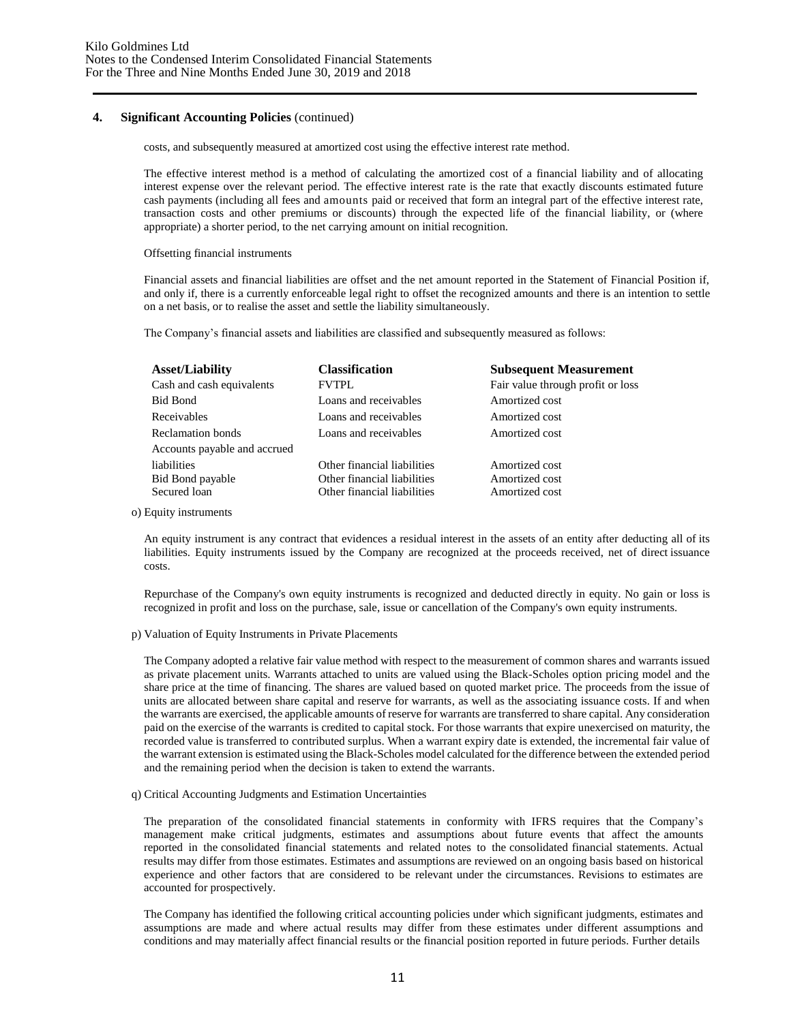costs, and subsequently measured at amortized cost using the effective interest rate method.

The effective interest method is a method of calculating the amortized cost of a financial liability and of allocating interest expense over the relevant period. The effective interest rate is the rate that exactly discounts estimated future cash payments (including all fees and amounts paid or received that form an integral part of the effective interest rate, transaction costs and other premiums or discounts) through the expected life of the financial liability, or (where appropriate) a shorter period, to the net carrying amount on initial recognition.

#### Offsetting financial instruments

Financial assets and financial liabilities are offset and the net amount reported in the Statement of Financial Position if, and only if, there is a currently enforceable legal right to offset the recognized amounts and there is an intention to settle on a net basis, or to realise the asset and settle the liability simultaneously.

The Company's financial assets and liabilities are classified and subsequently measured as follows:

| <b>Asset/Liability</b><br>Cash and cash equivalents | <b>Classification</b><br><b>FVTPL</b> | <b>Subsequent Measurement</b><br>Fair value through profit or loss |
|-----------------------------------------------------|---------------------------------------|--------------------------------------------------------------------|
|                                                     |                                       |                                                                    |
| Bid Bond                                            | Loans and receivables                 | Amortized cost                                                     |
| Receivables                                         | Loans and receivables                 | Amortized cost                                                     |
| Reclamation bonds                                   | Loans and receivables                 | Amortized cost                                                     |
| Accounts payable and accrued                        |                                       |                                                                    |
| liabilities                                         | Other financial liabilities           | Amortized cost                                                     |
| Bid Bond payable                                    | Other financial liabilities           | Amortized cost                                                     |
| Secured loan                                        | Other financial liabilities           | Amortized cost                                                     |

o) Equity instruments

An equity instrument is any contract that evidences a residual interest in the assets of an entity after deducting all of its liabilities. Equity instruments issued by the Company are recognized at the proceeds received, net of direct issuance costs.

Repurchase of the Company's own equity instruments is recognized and deducted directly in equity. No gain or loss is recognized in profit and loss on the purchase, sale, issue or cancellation of the Company's own equity instruments.

p) Valuation of Equity Instruments in Private Placements

The Company adopted a relative fair value method with respect to the measurement of common shares and warrants issued as private placement units. Warrants attached to units are valued using the Black-Scholes option pricing model and the share price at the time of financing. The shares are valued based on quoted market price. The proceeds from the issue of units are allocated between share capital and reserve for warrants, as well as the associating issuance costs. If and when the warrants are exercised, the applicable amounts of reserve for warrants are transferred to share capital. Any consideration paid on the exercise of the warrants is credited to capital stock. For those warrants that expire unexercised on maturity, the recorded value is transferred to contributed surplus. When a warrant expiry date is extended, the incremental fair value of the warrant extension is estimated using the Black-Scholes model calculated for the difference between the extended period and the remaining period when the decision is taken to extend the warrants.

#### q) Critical Accounting Judgments and Estimation Uncertainties

The preparation of the consolidated financial statements in conformity with IFRS requires that the Company's management make critical judgments, estimates and assumptions about future events that affect the amounts reported in the consolidated financial statements and related notes to the consolidated financial statements. Actual results may differ from those estimates. Estimates and assumptions are reviewed on an ongoing basis based on historical experience and other factors that are considered to be relevant under the circumstances. Revisions to estimates are accounted for prospectively.

The Company has identified the following critical accounting policies under which significant judgments, estimates and assumptions are made and where actual results may differ from these estimates under different assumptions and conditions and may materially affect financial results or the financial position reported in future periods. Further details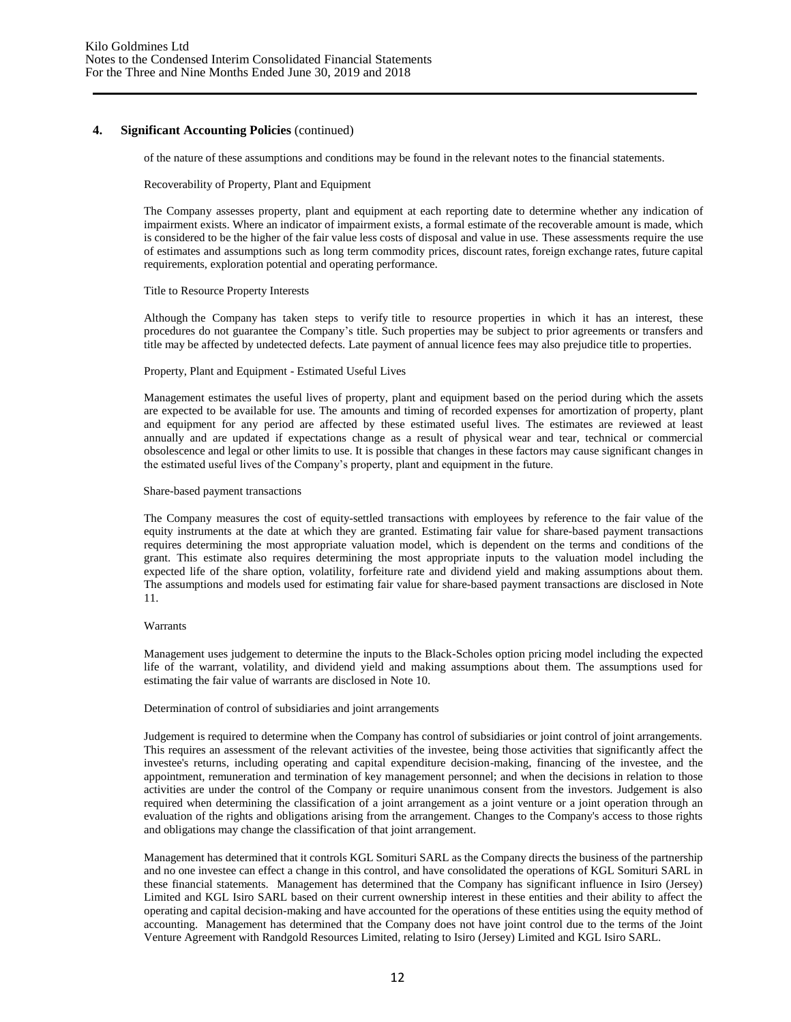of the nature of these assumptions and conditions may be found in the relevant notes to the financial statements.

#### Recoverability of Property, Plant and Equipment

The Company assesses property, plant and equipment at each reporting date to determine whether any indication of impairment exists. Where an indicator of impairment exists, a formal estimate of the recoverable amount is made, which is considered to be the higher of the fair value less costs of disposal and value in use. These assessments require the use of estimates and assumptions such as long term commodity prices, discount rates, foreign exchange rates, future capital requirements, exploration potential and operating performance.

#### Title to Resource Property Interests

Although the Company has taken steps to verify title to resource properties in which it has an interest, these procedures do not guarantee the Company's title. Such properties may be subject to prior agreements or transfers and title may be affected by undetected defects. Late payment of annual licence fees may also prejudice title to properties.

#### Property, Plant and Equipment - Estimated Useful Lives

Management estimates the useful lives of property, plant and equipment based on the period during which the assets are expected to be available for use. The amounts and timing of recorded expenses for amortization of property, plant and equipment for any period are affected by these estimated useful lives. The estimates are reviewed at least annually and are updated if expectations change as a result of physical wear and tear, technical or commercial obsolescence and legal or other limits to use. It is possible that changes in these factors may cause significant changes in the estimated useful lives of the Company's property, plant and equipment in the future.

#### Share-based payment transactions

The Company measures the cost of equity-settled transactions with employees by reference to the fair value of the equity instruments at the date at which they are granted. Estimating fair value for share-based payment transactions requires determining the most appropriate valuation model, which is dependent on the terms and conditions of the grant. This estimate also requires determining the most appropriate inputs to the valuation model including the expected life of the share option, volatility, forfeiture rate and dividend yield and making assumptions about them. The assumptions and models used for estimating fair value for share-based payment transactions are disclosed in Note 11.

#### Warrants

Management uses judgement to determine the inputs to the Black-Scholes option pricing model including the expected life of the warrant, volatility, and dividend yield and making assumptions about them. The assumptions used for estimating the fair value of warrants are disclosed in Note 10.

#### Determination of control of subsidiaries and joint arrangements

Judgement is required to determine when the Company has control of subsidiaries or joint control of joint arrangements. This requires an assessment of the relevant activities of the investee, being those activities that significantly affect the investee's returns, including operating and capital expenditure decision-making, financing of the investee, and the appointment, remuneration and termination of key management personnel; and when the decisions in relation to those activities are under the control of the Company or require unanimous consent from the investors. Judgement is also required when determining the classification of a joint arrangement as a joint venture or a joint operation through an evaluation of the rights and obligations arising from the arrangement. Changes to the Company's access to those rights and obligations may change the classification of that joint arrangement.

Management has determined that it controls KGL Somituri SARL as the Company directs the business of the partnership and no one investee can effect a change in this control, and have consolidated the operations of KGL Somituri SARL in these financial statements. Management has determined that the Company has significant influence in Isiro (Jersey) Limited and KGL Isiro SARL based on their current ownership interest in these entities and their ability to affect the operating and capital decision-making and have accounted for the operations of these entities using the equity method of accounting. Management has determined that the Company does not have joint control due to the terms of the Joint Venture Agreement with Randgold Resources Limited, relating to Isiro (Jersey) Limited and KGL Isiro SARL.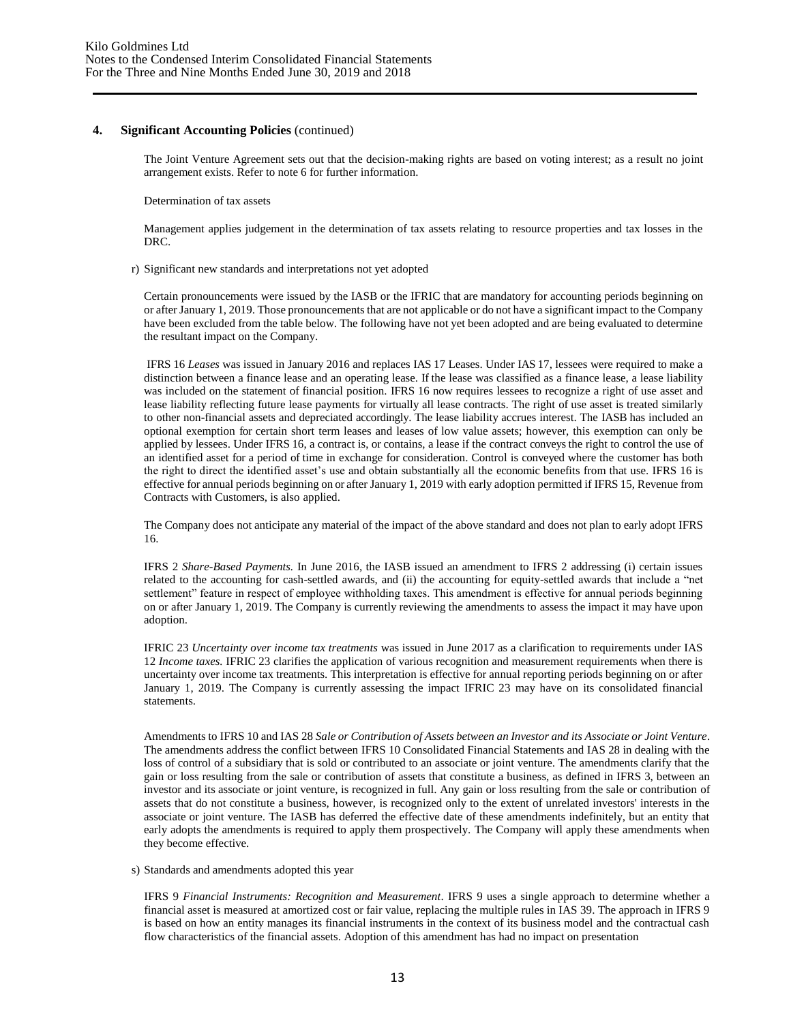The Joint Venture Agreement sets out that the decision-making rights are based on voting interest; as a result no joint arrangement exists. Refer to note 6 for further information.

Determination of tax assets

Management applies judgement in the determination of tax assets relating to resource properties and tax losses in the DRC.

#### r) Significant new standards and interpretations not yet adopted

Certain pronouncements were issued by the IASB or the IFRIC that are mandatory for accounting periods beginning on or after January 1, 2019. Those pronouncements that are not applicable or do not have a significant impact to the Company have been excluded from the table below. The following have not yet been adopted and are being evaluated to determine the resultant impact on the Company.

IFRS 16 *Leases* was issued in January 2016 and replaces IAS 17 Leases. Under IAS 17, lessees were required to make a distinction between a finance lease and an operating lease. If the lease was classified as a finance lease, a lease liability was included on the statement of financial position. IFRS 16 now requires lessees to recognize a right of use asset and lease liability reflecting future lease payments for virtually all lease contracts. The right of use asset is treated similarly to other non-financial assets and depreciated accordingly. The lease liability accrues interest. The IASB has included an optional exemption for certain short term leases and leases of low value assets; however, this exemption can only be applied by lessees. Under IFRS 16, a contract is, or contains, a lease if the contract conveys the right to control the use of an identified asset for a period of time in exchange for consideration. Control is conveyed where the customer has both the right to direct the identified asset's use and obtain substantially all the economic benefits from that use. IFRS 16 is effective for annual periods beginning on or after January 1, 2019 with early adoption permitted if IFRS 15, Revenue from Contracts with Customers, is also applied.

The Company does not anticipate any material of the impact of the above standard and does not plan to early adopt IFRS 16.

IFRS 2 *Share-Based Payments.* In June 2016, the IASB issued an amendment to IFRS 2 addressing (i) certain issues related to the accounting for cash-settled awards, and (ii) the accounting for equity-settled awards that include a "net settlement" feature in respect of employee withholding taxes. This amendment is effective for annual periods beginning on or after January 1, 2019. The Company is currently reviewing the amendments to assess the impact it may have upon adoption.

IFRIC 23 *Uncertainty over income tax treatments* was issued in June 2017 as a clarification to requirements under IAS 12 *Income taxes.* IFRIC 23 clarifies the application of various recognition and measurement requirements when there is uncertainty over income tax treatments. This interpretation is effective for annual reporting periods beginning on or after January 1, 2019. The Company is currently assessing the impact IFRIC 23 may have on its consolidated financial statements.

Amendments to IFRS 10 and IAS 28 *Sale or Contribution of Assets between an Investor and its Associate or Joint Venture*. The amendments address the conflict between IFRS 10 Consolidated Financial Statements and IAS 28 in dealing with the loss of control of a subsidiary that is sold or contributed to an associate or joint venture. The amendments clarify that the gain or loss resulting from the sale or contribution of assets that constitute a business, as defined in IFRS 3, between an investor and its associate or joint venture, is recognized in full. Any gain or loss resulting from the sale or contribution of assets that do not constitute a business, however, is recognized only to the extent of unrelated investors' interests in the associate or joint venture. The IASB has deferred the effective date of these amendments indefinitely, but an entity that early adopts the amendments is required to apply them prospectively. The Company will apply these amendments when they become effective.

s) Standards and amendments adopted this year

IFRS 9 *Financial Instruments: Recognition and Measurement*. IFRS 9 uses a single approach to determine whether a financial asset is measured at amortized cost or fair value, replacing the multiple rules in IAS 39. The approach in IFRS 9 is based on how an entity manages its financial instruments in the context of its business model and the contractual cash flow characteristics of the financial assets. Adoption of this amendment has had no impact on presentation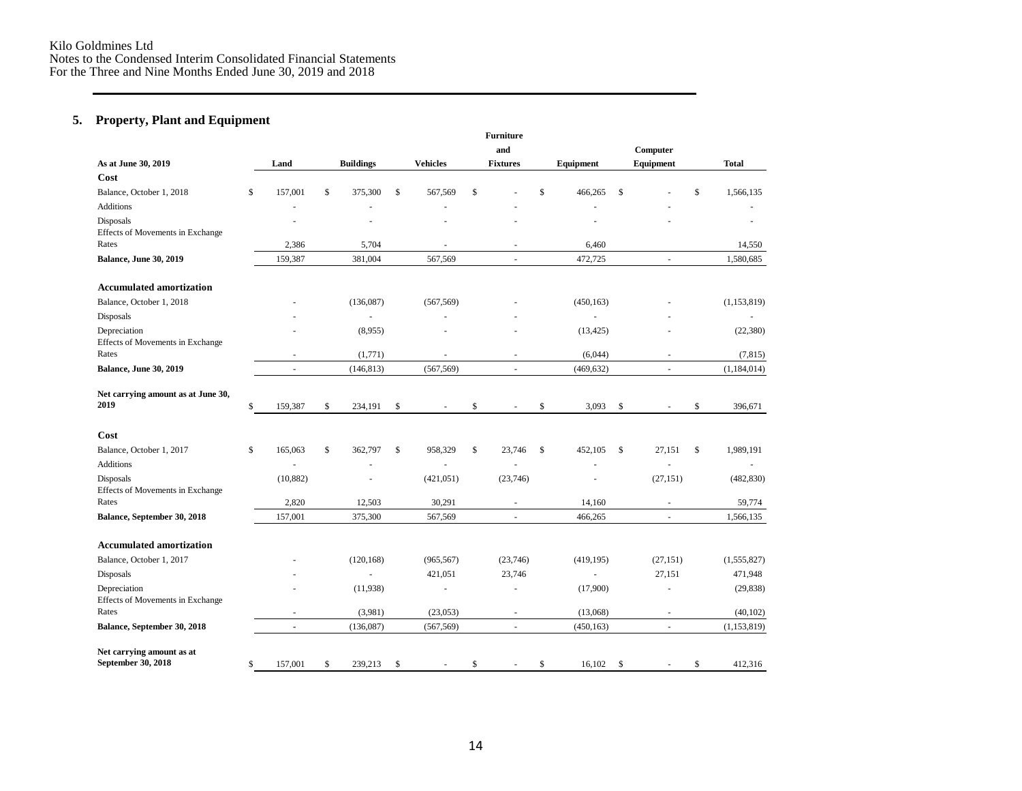### **5. Property, Plant and Equipment**

|                                                  |               |                  |    |                 | <b>Furniture</b><br>and |                |               | Computer                 |                 |
|--------------------------------------------------|---------------|------------------|----|-----------------|-------------------------|----------------|---------------|--------------------------|-----------------|
| As at June 30, 2019                              | Land          | <b>Buildings</b> |    | <b>Vehicles</b> | <b>Fixtures</b>         | Equipment      |               | Equipment                | <b>Total</b>    |
| Cost                                             |               |                  |    |                 |                         |                |               |                          |                 |
| Balance, October 1, 2018                         | \$<br>157,001 | \$<br>375,300    | \$ | 567,569         | \$                      | \$<br>466,265  | \$            |                          | \$<br>1,566,135 |
| <b>Additions</b>                                 |               |                  |    | ä,              |                         |                |               |                          |                 |
| Disposals<br>Effects of Movements in Exchange    |               |                  |    |                 |                         |                |               |                          |                 |
| Rates                                            | 2,386         | 5,704            |    | $\sim$          | ٠                       | 6,460          |               |                          | 14,550          |
| <b>Balance, June 30, 2019</b>                    | 159,387       | 381,004          |    | 567,569         | $\sim$                  | 472,725        |               | $\overline{\phantom{a}}$ | 1,580,685       |
| <b>Accumulated amortization</b>                  |               |                  |    |                 |                         |                |               |                          |                 |
| Balance, October 1, 2018                         |               | (136,087)        |    | (567, 569)      |                         | (450, 163)     |               |                          | (1, 153, 819)   |
| Disposals                                        |               |                  |    |                 |                         |                |               |                          |                 |
| Depreciation<br>Effects of Movements in Exchange |               | (8,955)          |    |                 |                         | (13, 425)      |               |                          | (22, 380)       |
| Rates                                            |               | (1,771)          |    | ä,              |                         | (6,044)        |               | $\bar{a}$                | (7, 815)        |
| <b>Balance, June 30, 2019</b>                    | ä,            | (146, 813)       |    | (567, 569)      | ÷,                      | (469, 632)     |               | ä,                       | (1,184,014)     |
| Net carrying amount as at June 30,               |               |                  |    |                 |                         |                |               |                          |                 |
| 2019                                             | \$<br>159,387 | \$<br>234,191    | \$ | $\sim$          | \$<br>٠                 | \$<br>3,093    | <sup>\$</sup> |                          | \$<br>396,671   |
| Cost                                             |               |                  |    |                 |                         |                |               |                          |                 |
| Balance, October 1, 2017                         | \$<br>165,063 | \$<br>362,797    | \$ | 958,329         | \$<br>23,746            | \$<br>452,105  | \$            | 27,151                   | \$<br>1,989,191 |
| <b>Additions</b>                                 |               |                  |    | ä,              | L.                      | $\sim$         |               | ä,                       | $\sim$          |
| Disposals<br>Effects of Movements in Exchange    | (10, 882)     |                  |    | (421, 051)      | (23,746)                | $\blacksquare$ |               | (27, 151)                | (482, 830)      |
| Rates                                            | 2,820         | 12,503           |    | 30,291          | ÷.                      | 14,160         |               | $\overline{a}$           | 59,774          |
| Balance, September 30, 2018                      | 157,001       | 375,300          |    | 567,569         | ÷.                      | 466,265        |               | ä,                       | 1,566,135       |
| <b>Accumulated amortization</b>                  |               |                  |    |                 |                         |                |               |                          |                 |
| Balance, October 1, 2017                         |               | (120, 168)       |    | (965, 567)      | (23,746)                | (419, 195)     |               | (27, 151)                | (1,555,827)     |
| Disposals                                        |               |                  |    | 421,051         | 23,746                  |                |               | 27,151                   | 471,948         |
| Depreciation<br>Effects of Movements in Exchange |               | (11,938)         |    | ÷               | ÷.                      | (17,900)       |               | ÷                        | (29, 838)       |
| Rates                                            | $\sim$        | (3,981)          |    | (23,053)        | ÷                       | (13,068)       |               | $\blacksquare$           | (40, 102)       |
| Balance, September 30, 2018                      | ä,            | (136,087)        |    | (567, 569)      | ÷                       | (450, 163)     |               | ä,                       | (1, 153, 819)   |
| Net carrying amount as at                        |               |                  |    |                 |                         |                |               |                          |                 |
| September 30, 2018                               | \$<br>157,001 | \$<br>239,213    | S  | $\sim$          | \$<br>×.                | \$<br>16,102   | <sup>\$</sup> | $\sim$                   | \$<br>412,316   |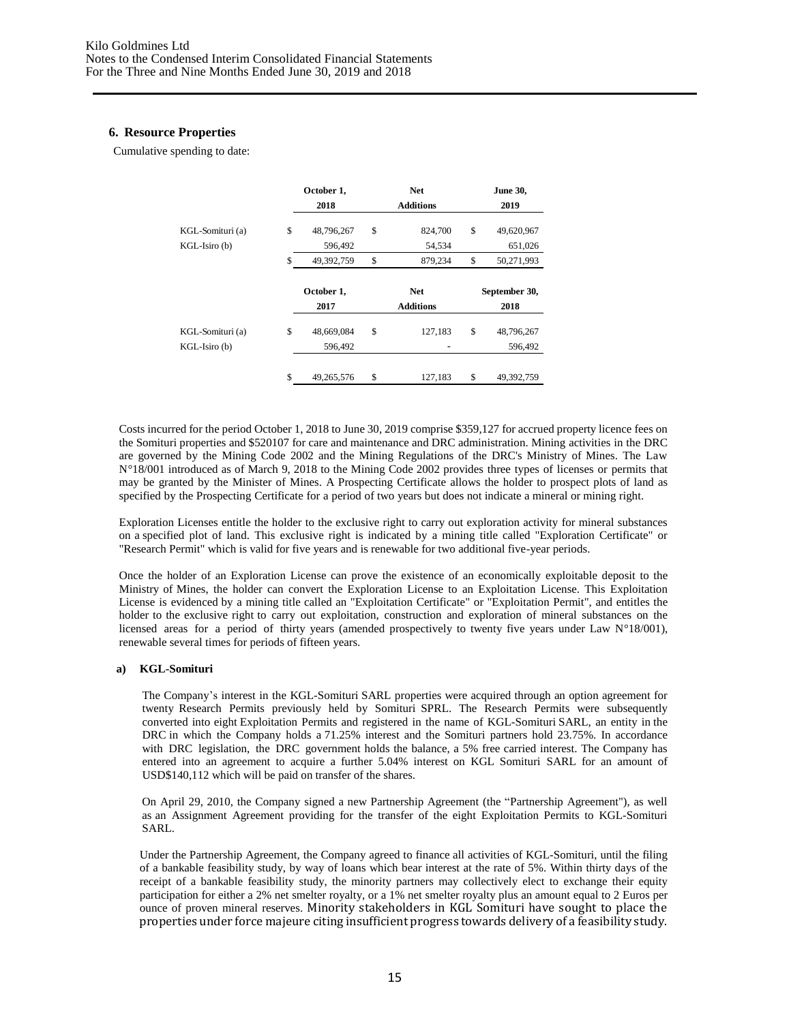#### **6. Resource Properties**

Cumulative spending to date:

|                                   | October 1,<br>2018          | <b>Net</b><br><b>Additions</b> | <b>June 30,</b><br>2019     |
|-----------------------------------|-----------------------------|--------------------------------|-----------------------------|
| KGL-Somituri (a)<br>KGL-Isiro (b) | \$<br>48,796,267<br>596,492 | \$<br>824,700<br>54,534        | \$<br>49,620,967<br>651,026 |
|                                   | \$<br>49,392,759            | \$<br>879,234                  | \$<br>50,271,993            |
|                                   | October 1,                  | <b>Net</b>                     |                             |
|                                   | 2017                        | <b>Additions</b>               | September 30,<br>2018       |
| KGL-Somituri (a)<br>KGL-Isiro (b) | \$<br>48,669,084<br>596,492 | \$<br>127,183                  | \$<br>48,796,267<br>596,492 |

Costs incurred for the period October 1, 2018 to June 30, 2019 comprise \$359,127 for accrued property licence fees on the Somituri properties and \$520107 for care and maintenance and DRC administration. Mining activities in the DRC are governed by the Mining Code 2002 and the Mining Regulations of the DRC's Ministry of Mines. The Law N°18/001 introduced as of March 9, 2018 to the Mining Code 2002 provides three types of licenses or permits that may be granted by the Minister of Mines. A Prospecting Certificate allows the holder to prospect plots of land as specified by the Prospecting Certificate for a period of two years but does not indicate a mineral or mining right.

Exploration Licenses entitle the holder to the exclusive right to carry out exploration activity for mineral substances on a specified plot of land. This exclusive right is indicated by a mining title called "Exploration Certificate" or "Research Permit" which is valid for five years and is renewable for two additional five-year periods.

Once the holder of an Exploration License can prove the existence of an economically exploitable deposit to the Ministry of Mines, the holder can convert the Exploration License to an Exploitation License. This Exploitation License is evidenced by a mining title called an "Exploitation Certificate" or "Exploitation Permit", and entitles the holder to the exclusive right to carry out exploitation, construction and exploration of mineral substances on the licensed areas for a period of thirty years (amended prospectively to twenty five years under Law N°18/001), renewable several times for periods of fifteen years.

#### **a) KGL-Somituri**

The Company's interest in the KGL-Somituri SARL properties were acquired through an option agreement for twenty Research Permits previously held by Somituri SPRL. The Research Permits were subsequently converted into eight Exploitation Permits and registered in the name of KGL-Somituri SARL, an entity in the DRC in which the Company holds a 71.25% interest and the Somituri partners hold 23.75%. In accordance with DRC legislation, the DRC government holds the balance, a 5% free carried interest. The Company has entered into an agreement to acquire a further 5.04% interest on KGL Somituri SARL for an amount of USD\$140,112 which will be paid on transfer of the shares.

On April 29, 2010, the Company signed a new Partnership Agreement (the "Partnership Agreement"), as well as an Assignment Agreement providing for the transfer of the eight Exploitation Permits to KGL-Somituri SARL.

Under the Partnership Agreement, the Company agreed to finance all activities of KGL-Somituri, until the filing of a bankable feasibility study, by way of loans which bear interest at the rate of 5%. Within thirty days of the receipt of a bankable feasibility study, the minority partners may collectively elect to exchange their equity participation for either a 2% net smelter royalty, or a 1% net smelter royalty plus an amount equal to 2 Euros per ounce of proven mineral reserves. Minority stakeholders in KGL Somituri have sought to place the properties under force majeure citing insufficient progress towards delivery of a feasibility study.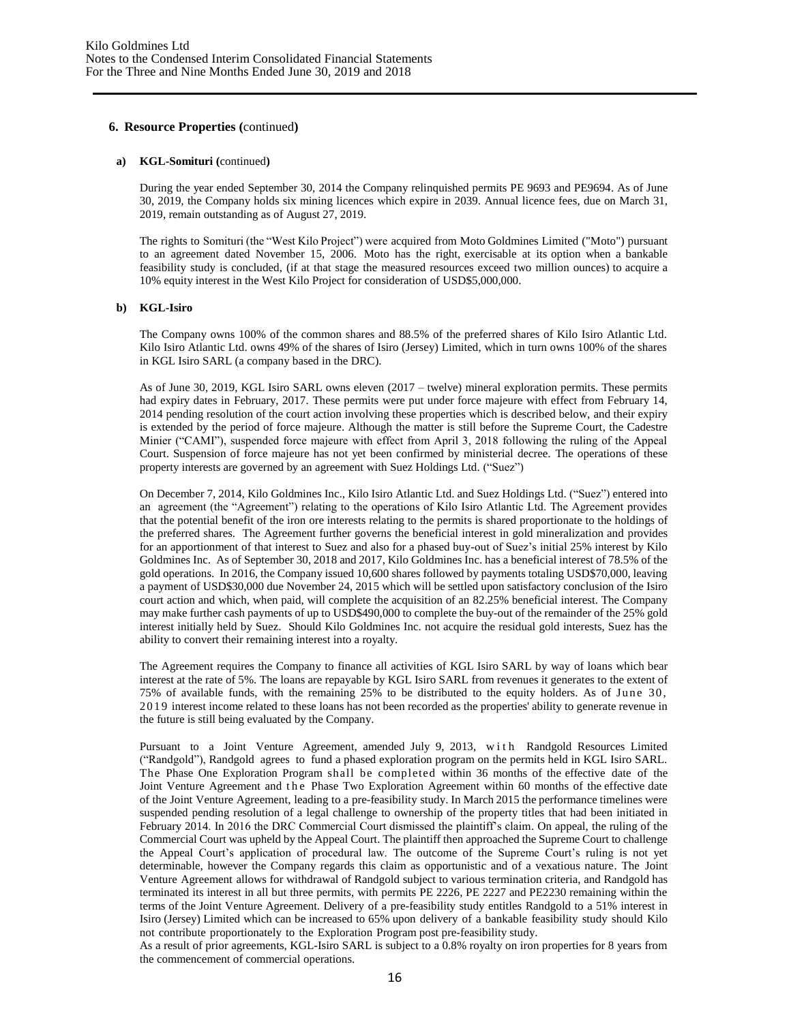#### **6. Resource Properties (**continued**)**

#### **a) KGL-Somituri (**continued**)**

During the year ended September 30, 2014 the Company relinquished permits PE 9693 and PE9694. As of June 30, 2019, the Company holds six mining licences which expire in 2039. Annual licence fees, due on March 31, 2019, remain outstanding as of August 27, 2019.

The rights to Somituri (the "West Kilo Project") were acquired from Moto Goldmines Limited ("Moto") pursuant to an agreement dated November 15, 2006. Moto has the right, exercisable at its option when a bankable feasibility study is concluded, (if at that stage the measured resources exceed two million ounces) to acquire a 10% equity interest in the West Kilo Project for consideration of USD\$5,000,000.

#### **b) KGL-Isiro**

The Company owns 100% of the common shares and 88.5% of the preferred shares of Kilo Isiro Atlantic Ltd. Kilo Isiro Atlantic Ltd. owns 49% of the shares of Isiro (Jersey) Limited, which in turn owns 100% of the shares in KGL Isiro SARL (a company based in the DRC).

As of June 30, 2019, KGL Isiro SARL owns eleven (2017 – twelve) mineral exploration permits. These permits had expiry dates in February, 2017. These permits were put under force majeure with effect from February 14, 2014 pending resolution of the court action involving these properties which is described below, and their expiry is extended by the period of force majeure. Although the matter is still before the Supreme Court, the Cadestre Minier ("CAMI"), suspended force majeure with effect from April 3, 2018 following the ruling of the Appeal Court. Suspension of force majeure has not yet been confirmed by ministerial decree. The operations of these property interests are governed by an agreement with Suez Holdings Ltd. ("Suez")

On December 7, 2014, Kilo Goldmines Inc., Kilo Isiro Atlantic Ltd. and Suez Holdings Ltd. ("Suez") entered into an agreement (the "Agreement") relating to the operations of Kilo Isiro Atlantic Ltd. The Agreement provides that the potential benefit of the iron ore interests relating to the permits is shared proportionate to the holdings of the preferred shares. The Agreement further governs the beneficial interest in gold mineralization and provides for an apportionment of that interest to Suez and also for a phased buy-out of Suez's initial 25% interest by Kilo Goldmines Inc. As of September 30, 2018 and 2017, Kilo Goldmines Inc. has a beneficial interest of 78.5% of the gold operations. In 2016, the Company issued 10,600 shares followed by payments totaling USD\$70,000, leaving a payment of USD\$30,000 due November 24, 2015 which will be settled upon satisfactory conclusion of the Isiro court action and which, when paid, will complete the acquisition of an 82.25% beneficial interest. The Company may make further cash payments of up to USD\$490,000 to complete the buy-out of the remainder of the 25% gold interest initially held by Suez. Should Kilo Goldmines Inc. not acquire the residual gold interests, Suez has the ability to convert their remaining interest into a royalty.

The Agreement requires the Company to finance all activities of KGL Isiro SARL by way of loans which bear interest at the rate of 5%. The loans are repayable by KGL Isiro SARL from revenues it generates to the extent of 75% of available funds, with the remaining 25% to be distributed to the equity holders. As of June 30, 2019 interest income related to these loans has not been recorded as the properties' ability to generate revenue in the future is still being evaluated by the Company.

Pursuant to a Joint Venture Agreement, amended July 9, 2013, with Randgold Resources Limited ("Randgold"), Randgold agrees to fund a phased exploration program on the permits held in KGL Isiro SARL. The Phase One Exploration Program shall be completed within 36 months of the effective date of the Joint Venture Agreement and the Phase Two Exploration Agreement within 60 months of the effective date of the Joint Venture Agreement, leading to a pre-feasibility study. In March 2015 the performance timelines were suspended pending resolution of a legal challenge to ownership of the property titles that had been initiated in February 2014. In 2016 the DRC Commercial Court dismissed the plaintiff's claim. On appeal, the ruling of the Commercial Court was upheld by the Appeal Court. The plaintiff then approached the Supreme Court to challenge the Appeal Court's application of procedural law. The outcome of the Supreme Court's ruling is not yet determinable, however the Company regards this claim as opportunistic and of a vexatious nature. The Joint Venture Agreement allows for withdrawal of Randgold subject to various termination criteria, and Randgold has terminated its interest in all but three permits, with permits PE 2226, PE 2227 and PE2230 remaining within the terms of the Joint Venture Agreement. Delivery of a pre-feasibility study entitles Randgold to a 51% interest in Isiro (Jersey) Limited which can be increased to 65% upon delivery of a bankable feasibility study should Kilo not contribute proportionately to the Exploration Program post pre-feasibility study.

As a result of prior agreements, KGL-Isiro SARL is subject to a 0.8% royalty on iron properties for 8 years from the commencement of commercial operations.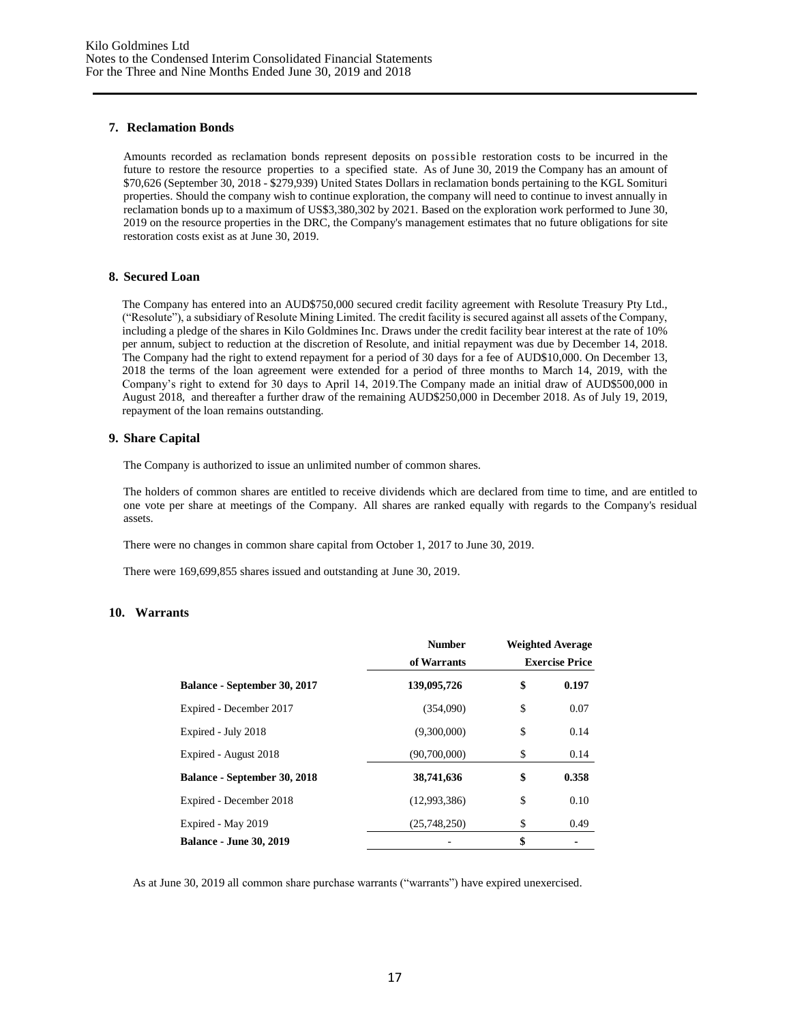#### **7. Reclamation Bonds**

Amounts recorded as reclamation bonds represent deposits on possible restoration costs to be incurred in the future to restore the resource properties to a specified state. As of June 30, 2019 the Company has an amount of \$70,626 (September 30, 2018 - \$279,939) United States Dollars in reclamation bonds pertaining to the KGL Somituri properties. Should the company wish to continue exploration, the company will need to continue to invest annually in reclamation bonds up to a maximum of US\$3,380,302 by 2021. Based on the exploration work performed to June 30, 2019 on the resource properties in the DRC, the Company's management estimates that no future obligations for site restoration costs exist as at June 30, 2019.

#### **8. Secured Loan**

The Company has entered into an AUD\$750,000 secured credit facility agreement with Resolute Treasury Pty Ltd., ("Resolute"), a subsidiary of Resolute Mining Limited. The credit facility is secured against all assets of the Company, including a pledge of the shares in Kilo Goldmines Inc. Draws under the credit facility bear interest at the rate of 10% per annum, subject to reduction at the discretion of Resolute, and initial repayment was due by December 14, 2018. The Company had the right to extend repayment for a period of 30 days for a fee of AUD\$10,000. On December 13, 2018 the terms of the loan agreement were extended for a period of three months to March 14, 2019, with the Company's right to extend for 30 days to April 14, 2019.The Company made an initial draw of AUD\$500,000 in August 2018, and thereafter a further draw of the remaining AUD\$250,000 in December 2018. As of July 19, 2019, repayment of the loan remains outstanding.

#### **9. Share Capital**

The Company is authorized to issue an unlimited number of common shares.

The holders of common shares are entitled to receive dividends which are declared from time to time, and are entitled to one vote per share at meetings of the Company. All shares are ranked equally with regards to the Company's residual assets.

There were no changes in common share capital from October 1, 2017 to June 30, 2019.

There were 169,699,855 shares issued and outstanding at June 30, 2019.

#### **10. Warrants**

|                                | <b>Number</b> |                       | <b>Weighted Average</b> |  |  |
|--------------------------------|---------------|-----------------------|-------------------------|--|--|
|                                | of Warrants   | <b>Exercise Price</b> |                         |  |  |
| Balance - September 30, 2017   | 139,095,726   | \$                    | 0.197                   |  |  |
| Expired - December 2017        | (354,090)     | \$                    | 0.07                    |  |  |
| Expired - July 2018            | (9,300,000)   | \$                    | 0.14                    |  |  |
| Expired - August 2018          | (90,700,000)  | \$                    | 0.14                    |  |  |
| Balance - September 30, 2018   | 38,741,636    | \$                    | 0.358                   |  |  |
| Expired - December 2018        | (12,993,386)  | \$                    | 0.10                    |  |  |
| Expired - May 2019             | (25,748,250)  | \$                    | 0.49                    |  |  |
| <b>Balance - June 30, 2019</b> |               | \$                    |                         |  |  |

As at June 30, 2019 all common share purchase warrants ("warrants") have expired unexercised.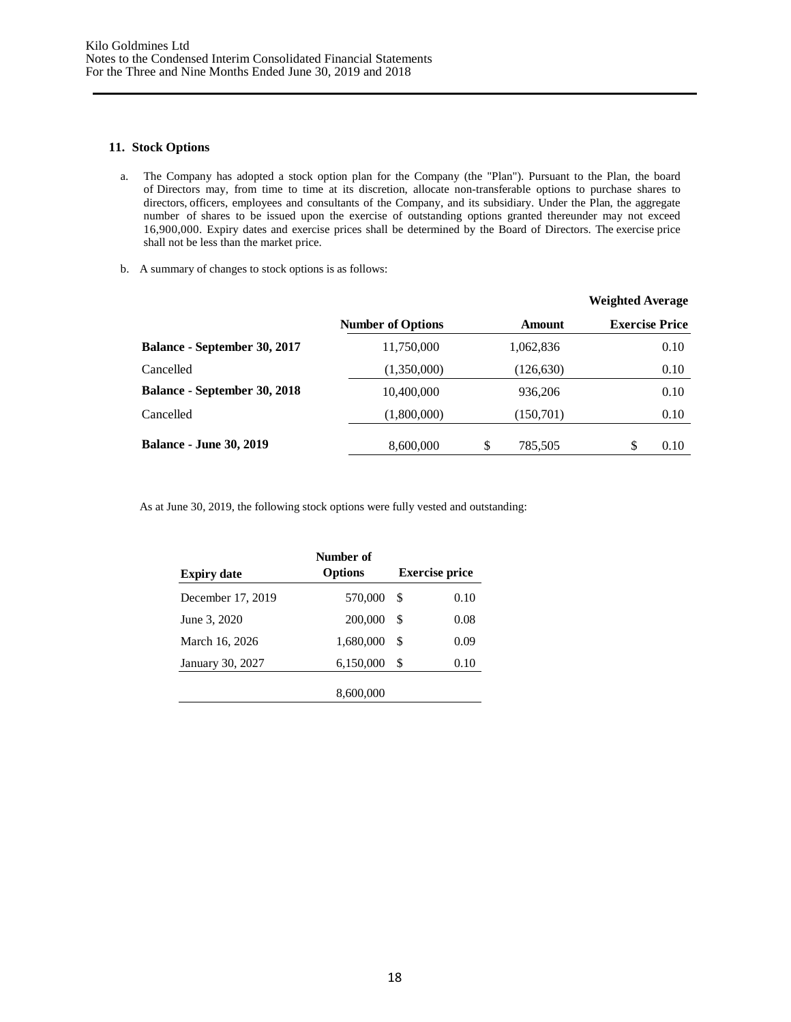#### **11. Stock Options**

- a. The Company has adopted a stock option plan for the Company (the "Plan"). Pursuant to the Plan, the board of Directors may, from time to time at its discretion, allocate non-transferable options to purchase shares to directors, officers, employees and consultants of the Company, and its subsidiary. Under the Plan, the aggregate number of shares to be issued upon the exercise of outstanding options granted thereunder may not exceed 16,900,000. Expiry dates and exercise prices shall be determined by the Board of Directors. The exercise price shall not be less than the market price.
- b. A summary of changes to stock options is as follows:

|                                     |                          |               | <b>Weighted Average</b> |
|-------------------------------------|--------------------------|---------------|-------------------------|
|                                     | <b>Number of Options</b> | <b>Amount</b> | <b>Exercise Price</b>   |
| <b>Balance - September 30, 2017</b> | 11,750,000               | 1,062,836     | 0.10                    |
| Cancelled                           | (1,350,000)              | (126, 630)    | 0.10                    |
| <b>Balance - September 30, 2018</b> | 10,400,000               | 936,206       | 0.10                    |
| Cancelled                           | (1,800,000)              | (150, 701)    | 0.10                    |
| <b>Balance - June 30, 2019</b>      | 8,600,000                | \$<br>785,505 | S<br>0.10               |

As at June 30, 2019, the following stock options were fully vested and outstanding:

| <b>Expiry date</b> | Number of<br><b>Options</b> |    | <b>Exercise price</b> |
|--------------------|-----------------------------|----|-----------------------|
| December 17, 2019  | 570,000                     | \$ | 0.10                  |
| June 3, 2020       | 200,000                     | \$ | 0.08                  |
| March 16, 2026     | 1,680,000                   | S  | 0.09                  |
| January 30, 2027   | 6,150,000                   | \$ | 0.10                  |
|                    | 8,600,000                   |    |                       |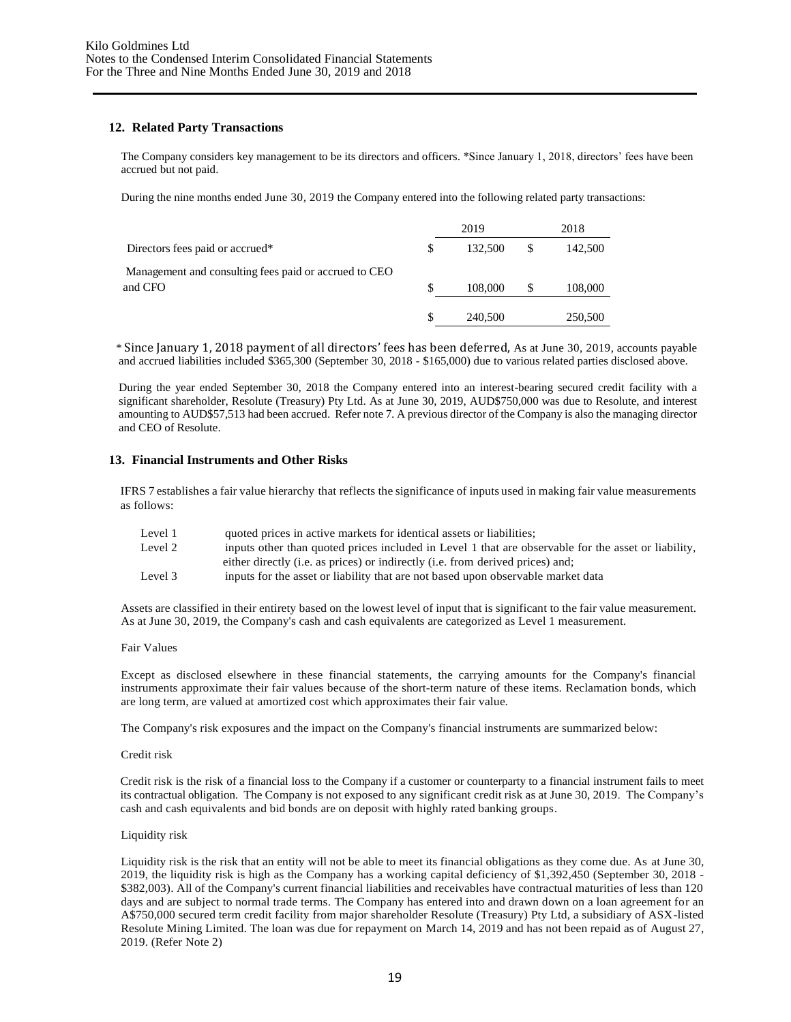#### **12. Related Party Transactions**

The Company considers key management to be its directors and officers. \*Since January 1, 2018, directors' fees have been accrued but not paid.

During the nine months ended June 30, 2019 the Company entered into the following related party transactions:

|                                                                  | 2019          |     | 2018    |
|------------------------------------------------------------------|---------------|-----|---------|
| Directors fees paid or accrued*                                  | \$<br>132,500 | \$. | 142,500 |
| Management and consulting fees paid or accrued to CEO<br>and CFO | 108,000       |     | 108,000 |
|                                                                  | 240,500       |     | 250,500 |

\* Since January 1, 2018 payment of all directors' fees has been deferred, As at June 30, 2019, accounts payable and accrued liabilities included \$365,300 (September 30, 2018 - \$165,000) due to various related parties disclosed above.

During the year ended September 30, 2018 the Company entered into an interest-bearing secured credit facility with a significant shareholder, Resolute (Treasury) Pty Ltd. As at June 30, 2019, AUD\$750,000 was due to Resolute, and interest amounting to AUD\$57,513 had been accrued. Refer note 7. A previous director of the Company is also the managing director and CEO of Resolute.

#### **13. Financial Instruments and Other Risks**

IFRS 7 establishes a fair value hierarchy that reflects the significance of inputs used in making fair value measurements as follows:

| Level 1 | quoted prices in active markets for identical assets or liabilities;                                |
|---------|-----------------------------------------------------------------------------------------------------|
| Level 2 | inputs other than quoted prices included in Level 1 that are observable for the asset or liability, |
|         | either directly (i.e. as prices) or indirectly (i.e. from derived prices) and;                      |
| Level 3 | inputs for the asset or liability that are not based upon observable market data                    |

Assets are classified in their entirety based on the lowest level of input that is significant to the fair value measurement. As at June 30, 2019, the Company's cash and cash equivalents are categorized as Level 1 measurement.

#### Fair Values

Except as disclosed elsewhere in these financial statements, the carrying amounts for the Company's financial instruments approximate their fair values because of the short-term nature of these items. Reclamation bonds, which are long term, are valued at amortized cost which approximates their fair value.

The Company's risk exposures and the impact on the Company's financial instruments are summarized below:

#### Credit risk

Credit risk is the risk of a financial loss to the Company if a customer or counterparty to a financial instrument fails to meet its contractual obligation. The Company is not exposed to any significant credit risk as at June 30, 2019. The Company's cash and cash equivalents and bid bonds are on deposit with highly rated banking groups.

#### Liquidity risk

Liquidity risk is the risk that an entity will not be able to meet its financial obligations as they come due. As at June 30, 2019, the liquidity risk is high as the Company has a working capital deficiency of \$1,392,450 (September 30, 2018 - \$382,003). All of the Company's current financial liabilities and receivables have contractual maturities of less than 120 days and are subject to normal trade terms. The Company has entered into and drawn down on a loan agreement for an A\$750,000 secured term credit facility from major shareholder Resolute (Treasury) Pty Ltd, a subsidiary of ASX-listed Resolute Mining Limited. The loan was due for repayment on March 14, 2019 and has not been repaid as of August 27, 2019. (Refer Note 2)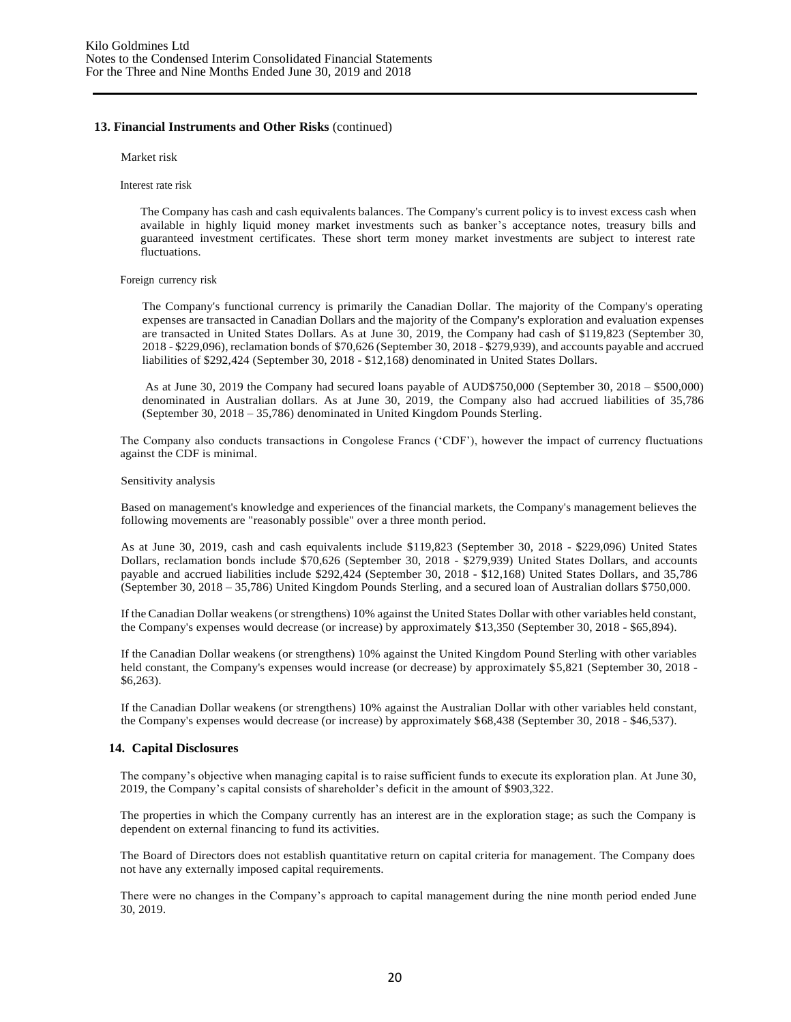#### **13. Financial Instruments and Other Risks** (continued)

Market risk

Interest rate risk

The Company has cash and cash equivalents balances. The Company's current policy is to invest excess cash when available in highly liquid money market investments such as banker's acceptance notes, treasury bills and guaranteed investment certificates. These short term money market investments are subject to interest rate fluctuations.

#### Foreign currency risk

The Company's functional currency is primarily the Canadian Dollar. The majority of the Company's operating expenses are transacted in Canadian Dollars and the majority of the Company's exploration and evaluation expenses are transacted in United States Dollars. As at June 30, 2019, the Company had cash of \$119,823 (September 30, 2018 - \$229,096), reclamation bonds of \$70,626 (September 30, 2018 - \$279,939), and accounts payable and accrued liabilities of \$292,424 (September 30, 2018 - \$12,168) denominated in United States Dollars.

As at June 30, 2019 the Company had secured loans payable of AUD\$750,000 (September 30, 2018 – \$500,000) denominated in Australian dollars. As at June 30, 2019, the Company also had accrued liabilities of 35,786 (September 30, 2018 – 35,786) denominated in United Kingdom Pounds Sterling.

The Company also conducts transactions in Congolese Francs ('CDF'), however the impact of currency fluctuations against the CDF is minimal.

#### Sensitivity analysis

Based on management's knowledge and experiences of the financial markets, the Company's management believes the following movements are "reasonably possible" over a three month period.

As at June 30, 2019, cash and cash equivalents include \$119,823 (September 30, 2018 - \$229,096) United States Dollars, reclamation bonds include \$70,626 (September 30, 2018 - \$279,939) United States Dollars, and accounts payable and accrued liabilities include \$292,424 (September 30, 2018 - \$12,168) United States Dollars, and 35,786 (September 30, 2018 – 35,786) United Kingdom Pounds Sterling, and a secured loan of Australian dollars \$750,000.

If the Canadian Dollar weakens (or strengthens) 10% against the United States Dollar with other variables held constant, the Company's expenses would decrease (or increase) by approximately \$13,350 (September 30, 2018 - \$65,894).

If the Canadian Dollar weakens (or strengthens) 10% against the United Kingdom Pound Sterling with other variables held constant, the Company's expenses would increase (or decrease) by approximately \$5,821 (September 30, 2018 - \$6,263).

If the Canadian Dollar weakens (or strengthens) 10% against the Australian Dollar with other variables held constant, the Company's expenses would decrease (or increase) by approximately \$68,438 (September 30, 2018 - \$46,537).

#### **14. Capital Disclosures**

The company's objective when managing capital is to raise sufficient funds to execute its exploration plan. At June 30, 2019, the Company's capital consists of shareholder's deficit in the amount of \$903,322.

The properties in which the Company currently has an interest are in the exploration stage; as such the Company is dependent on external financing to fund its activities.

The Board of Directors does not establish quantitative return on capital criteria for management. The Company does not have any externally imposed capital requirements.

There were no changes in the Company's approach to capital management during the nine month period ended June 30, 2019.